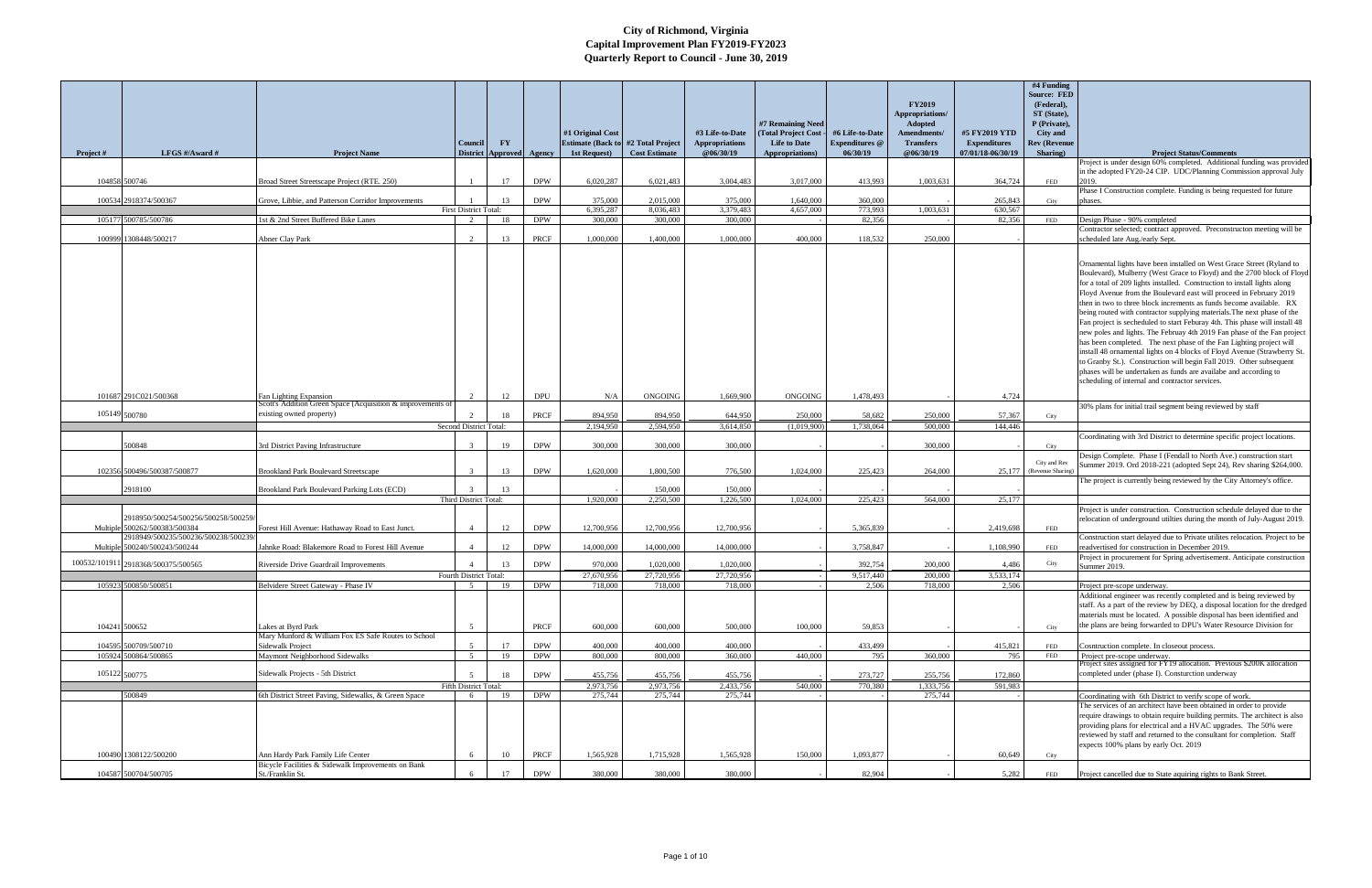| LFGS $\#/$ Award $\#$                                                |                                                                                       | $\mathbf{F}\mathbf{Y}$<br><b>Council</b><br>District Approved Agency |             | #1 Original Cost<br><b>Estimate (Back to #2 Total Project)</b><br>1st Request) | <b>Cost Estimate</b> | #3 Life-to-Date<br>Appropriations<br>@06/30/19 | #7 Remaining Need<br>(Total Project Cost -<br><b>Life to Date</b> | #6 Life-to-Date<br><b>Expenditures</b> @<br>06/30/19 | <b>FY2019</b><br>Appropriations/<br><b>Adopted</b><br>Amendments/<br><b>Transfers</b><br>@06/30/19 | #5 FY2019 YTD<br><b>Expenditures</b><br>07/01/18-06/30/19 | #4 Funding<br><b>Source: FED</b><br>(Federal),<br>ST (State),<br>P (Private),<br>City and<br><b>Rev (Revenue</b><br>Sharing) |                                                                                                                                                                                                                                                                                                                                                                                                                                                                                                                                                                                                                                                                                                                                                                                                                                                                                                                                                                |
|----------------------------------------------------------------------|---------------------------------------------------------------------------------------|----------------------------------------------------------------------|-------------|--------------------------------------------------------------------------------|----------------------|------------------------------------------------|-------------------------------------------------------------------|------------------------------------------------------|----------------------------------------------------------------------------------------------------|-----------------------------------------------------------|------------------------------------------------------------------------------------------------------------------------------|----------------------------------------------------------------------------------------------------------------------------------------------------------------------------------------------------------------------------------------------------------------------------------------------------------------------------------------------------------------------------------------------------------------------------------------------------------------------------------------------------------------------------------------------------------------------------------------------------------------------------------------------------------------------------------------------------------------------------------------------------------------------------------------------------------------------------------------------------------------------------------------------------------------------------------------------------------------|
| Project #                                                            | <b>Project Name</b>                                                                   |                                                                      |             |                                                                                |                      |                                                | Appropriations)                                                   |                                                      |                                                                                                    |                                                           |                                                                                                                              | <b>Project Status/Comments</b><br>Project is under design 60% completed. Additional funding was provided                                                                                                                                                                                                                                                                                                                                                                                                                                                                                                                                                                                                                                                                                                                                                                                                                                                       |
|                                                                      |                                                                                       |                                                                      |             |                                                                                |                      |                                                |                                                                   |                                                      |                                                                                                    |                                                           |                                                                                                                              | in the adopted FY20-24 CIP. UDC/Planning Commission approval July                                                                                                                                                                                                                                                                                                                                                                                                                                                                                                                                                                                                                                                                                                                                                                                                                                                                                              |
| 104858 500746                                                        | Broad Street Streetscape Project (RTE. 250)                                           | 17                                                                   | <b>DPW</b>  | 6,020,287                                                                      | 6,021,483            | 3,004,483                                      | 3,017,000                                                         | 413,993                                              | 1,003,631                                                                                          | 364,724                                                   | FED                                                                                                                          |                                                                                                                                                                                                                                                                                                                                                                                                                                                                                                                                                                                                                                                                                                                                                                                                                                                                                                                                                                |
|                                                                      |                                                                                       |                                                                      |             |                                                                                |                      |                                                |                                                                   |                                                      |                                                                                                    |                                                           |                                                                                                                              | Phase I Construction complete. Funding is being requested for future                                                                                                                                                                                                                                                                                                                                                                                                                                                                                                                                                                                                                                                                                                                                                                                                                                                                                           |
| 100534 2918374/500367                                                | Grove, Libbie, and Patterson Corridor Improvements                                    | 13                                                                   | <b>DPW</b>  | 375,000                                                                        | 2,015,000            | 375,000                                        | 1,640,000                                                         | 360,000                                              |                                                                                                    | 265,843                                                   | City                                                                                                                         | phases.                                                                                                                                                                                                                                                                                                                                                                                                                                                                                                                                                                                                                                                                                                                                                                                                                                                                                                                                                        |
|                                                                      |                                                                                       | First District Total:                                                |             | 6.395.287                                                                      | 8.036.483            | 3.379.483                                      | 4,657,000                                                         | 773,993                                              | 1,003,631                                                                                          | 630,567                                                   |                                                                                                                              |                                                                                                                                                                                                                                                                                                                                                                                                                                                                                                                                                                                                                                                                                                                                                                                                                                                                                                                                                                |
| 105177 500785/500786                                                 | st & 2nd Street Buffered Bike Lanes                                                   | 2<br>18                                                              | <b>DPW</b>  | 300,000                                                                        | 300,000              | 300,000                                        |                                                                   | 82,356                                               |                                                                                                    | 82,356                                                    | <b>FED</b>                                                                                                                   | Design Phase - 90% completed<br>Contractor selected; contract approved. Preconstructon meeting will be                                                                                                                                                                                                                                                                                                                                                                                                                                                                                                                                                                                                                                                                                                                                                                                                                                                         |
| 100999 1308448/500217                                                | <b>Abner Clay Park</b>                                                                | $\overline{2}$<br>13                                                 | PRCF        | 1,000,000                                                                      | 1,400,000            | 1,000,000                                      | 400,000                                                           | 118,532                                              | 250,000                                                                                            |                                                           |                                                                                                                              | scheduled late Aug./early Sept.                                                                                                                                                                                                                                                                                                                                                                                                                                                                                                                                                                                                                                                                                                                                                                                                                                                                                                                                |
|                                                                      |                                                                                       |                                                                      |             |                                                                                |                      |                                                |                                                                   |                                                      |                                                                                                    |                                                           |                                                                                                                              |                                                                                                                                                                                                                                                                                                                                                                                                                                                                                                                                                                                                                                                                                                                                                                                                                                                                                                                                                                |
|                                                                      |                                                                                       |                                                                      |             |                                                                                |                      |                                                |                                                                   |                                                      |                                                                                                    |                                                           |                                                                                                                              | Ornamental lights have been installed on West Grace Street (Ryland to<br>Boulevard), Mulberry (West Grace to Floyd) and the 2700 block of Floyd<br>for a total of 209 lights installed. Construction to install lights along<br>Floyd Avenue from the Boulevard east will proceed in February 2019<br>then in two to three block increments as funds become available. RX<br>being routed with contractor supplying materials. The next phase of the<br>Fan project is secheduled to start Feburay 4th. This phase will install 48<br>new poles and lights. The Februay 4th 2019 Fan phase of the Fan project<br>has been completed. The next phase of the Fan Lighting project will<br>install 48 ornamental lights on 4 blocks of Floyd Avenue (Strawberry St.<br>to Granby St.). Construction will begin Fall 2019. Other subsequent<br>phases will be undertaken as funds are availabe and according to<br>scheduling of internal and contractor services. |
|                                                                      |                                                                                       | 12<br>$\gamma$                                                       |             |                                                                                |                      |                                                |                                                                   |                                                      |                                                                                                    |                                                           |                                                                                                                              |                                                                                                                                                                                                                                                                                                                                                                                                                                                                                                                                                                                                                                                                                                                                                                                                                                                                                                                                                                |
| 101687 291C021/500368                                                | Fan Lighting Expansion<br>Scott's Addition Green Space (Acquisition & improvements of |                                                                      | <b>DPU</b>  | N/A                                                                            | <b>ONGOING</b>       | 1,669,900                                      | <b>ONGOING</b>                                                    | 1,478,493                                            |                                                                                                    | 4,724                                                     |                                                                                                                              |                                                                                                                                                                                                                                                                                                                                                                                                                                                                                                                                                                                                                                                                                                                                                                                                                                                                                                                                                                |
| 105149 500780                                                        | existing owned property)                                                              | $\mathcal{L}$<br>-18                                                 | <b>PRCF</b> | 894,950                                                                        | 894,950              | 644,950                                        | 250,000                                                           | 58,682                                               | 250,000                                                                                            | 57,367                                                    | City                                                                                                                         | 30% plans for initial trail segment being reviewed by staff                                                                                                                                                                                                                                                                                                                                                                                                                                                                                                                                                                                                                                                                                                                                                                                                                                                                                                    |
|                                                                      |                                                                                       | Second District Total:                                               |             | 2,194,950                                                                      | 2,594,950            | 3,614,850                                      | (1,019,900)                                                       | 1,738,064                                            | 500,000                                                                                            | 144,446                                                   |                                                                                                                              |                                                                                                                                                                                                                                                                                                                                                                                                                                                                                                                                                                                                                                                                                                                                                                                                                                                                                                                                                                |
|                                                                      |                                                                                       |                                                                      |             |                                                                                |                      |                                                |                                                                   |                                                      |                                                                                                    |                                                           |                                                                                                                              | Coordinating with 3rd District to determine specific project locations.                                                                                                                                                                                                                                                                                                                                                                                                                                                                                                                                                                                                                                                                                                                                                                                                                                                                                        |
| 500848                                                               | 3rd District Paving Infrastructure                                                    | $\mathcal{R}$<br>19                                                  | <b>DPW</b>  | 300,000                                                                        | 300,000              | 300,000                                        |                                                                   |                                                      | 300,000                                                                                            |                                                           | City                                                                                                                         |                                                                                                                                                                                                                                                                                                                                                                                                                                                                                                                                                                                                                                                                                                                                                                                                                                                                                                                                                                |
|                                                                      |                                                                                       |                                                                      |             |                                                                                |                      |                                                |                                                                   |                                                      |                                                                                                    |                                                           |                                                                                                                              | Design Complete. Phase I (Fendall to North Ave.) construction start                                                                                                                                                                                                                                                                                                                                                                                                                                                                                                                                                                                                                                                                                                                                                                                                                                                                                            |
| 102356 500496/500387/500877                                          | Brookland Park Boulevard Streetscape                                                  | 13<br>$\mathcal{R}$                                                  | <b>DPW</b>  | 1,620,000                                                                      | 1.800.500            | 776,500                                        | 1,024,000                                                         | 225,423                                              | 264,000                                                                                            | 25,177                                                    | City and Rev<br>(Revenue Sharing)                                                                                            | Summer 2019. Ord 2018-221 (adopted Sept 24), Rev sharing \$264,000.                                                                                                                                                                                                                                                                                                                                                                                                                                                                                                                                                                                                                                                                                                                                                                                                                                                                                            |
|                                                                      |                                                                                       |                                                                      |             |                                                                                |                      |                                                |                                                                   |                                                      |                                                                                                    |                                                           |                                                                                                                              | The project is currently being reviewed by the City Attorney's office.                                                                                                                                                                                                                                                                                                                                                                                                                                                                                                                                                                                                                                                                                                                                                                                                                                                                                         |
| 2918100                                                              | Brookland Park Boulevard Parking Lots (ECD)                                           | 13                                                                   |             |                                                                                | 150,000              | 150,000                                        |                                                                   |                                                      |                                                                                                    |                                                           |                                                                                                                              |                                                                                                                                                                                                                                                                                                                                                                                                                                                                                                                                                                                                                                                                                                                                                                                                                                                                                                                                                                |
|                                                                      |                                                                                       | Third District Total:                                                |             | 1,920,000                                                                      | 2,250,500            | 1,226,500                                      | 1,024,000                                                         | 225,423                                              | 564,000                                                                                            | 25,177                                                    |                                                                                                                              |                                                                                                                                                                                                                                                                                                                                                                                                                                                                                                                                                                                                                                                                                                                                                                                                                                                                                                                                                                |
|                                                                      |                                                                                       |                                                                      |             |                                                                                |                      |                                                |                                                                   |                                                      |                                                                                                    |                                                           |                                                                                                                              | Project is under construction. Construction schedule delayed due to the                                                                                                                                                                                                                                                                                                                                                                                                                                                                                                                                                                                                                                                                                                                                                                                                                                                                                        |
| 2918950/500254/500256/500258/500259<br>Multiple 500262/500383/500384 | Forest Hill Avenue: Hathaway Road to East Junct.                                      | 12<br>$\overline{4}$                                                 | <b>DPW</b>  | 12.700.956                                                                     | 12,700,956           | 12,700,956                                     |                                                                   | 5.365.839                                            |                                                                                                    | 2,419,698                                                 | FED                                                                                                                          | relocation of underground utilities during the month of July-August 2019.                                                                                                                                                                                                                                                                                                                                                                                                                                                                                                                                                                                                                                                                                                                                                                                                                                                                                      |
| 2918949/500235/500236/500238/500239/                                 |                                                                                       |                                                                      |             |                                                                                |                      |                                                |                                                                   |                                                      |                                                                                                    |                                                           |                                                                                                                              | Construction start delayed due to Private utilites relocation. Project to be                                                                                                                                                                                                                                                                                                                                                                                                                                                                                                                                                                                                                                                                                                                                                                                                                                                                                   |
| Multiple 500240/500243/500244                                        | Jahnke Road: Blakemore Road to Forest Hill Avenue                                     | 12<br>$\mathbf{\Delta}$                                              | <b>DPW</b>  | 14,000,000                                                                     | 14,000,000           | 14,000,000                                     |                                                                   | 3,758,847                                            |                                                                                                    | 1,108,990                                                 | FED                                                                                                                          | readvertised for construction in December 2019.                                                                                                                                                                                                                                                                                                                                                                                                                                                                                                                                                                                                                                                                                                                                                                                                                                                                                                                |
|                                                                      |                                                                                       |                                                                      |             |                                                                                |                      |                                                |                                                                   |                                                      |                                                                                                    |                                                           |                                                                                                                              | Project in procurement for Spring advertisement. Anticipate construction                                                                                                                                                                                                                                                                                                                                                                                                                                                                                                                                                                                                                                                                                                                                                                                                                                                                                       |
| 100532/101911 2918368/500375/500565                                  | Riverside Drive Guardrail Improvements                                                | 13                                                                   | <b>DPW</b>  | 970,000                                                                        | 1,020,000            | 1,020,000                                      |                                                                   | 392,754                                              | 200,000                                                                                            | 4,486                                                     | City                                                                                                                         | Summer 2019.                                                                                                                                                                                                                                                                                                                                                                                                                                                                                                                                                                                                                                                                                                                                                                                                                                                                                                                                                   |
|                                                                      |                                                                                       | Fourth District Total:                                               |             | 27,670,956                                                                     | 27,720,956           | 27,720,956                                     |                                                                   | 9,517,440                                            | 200,000                                                                                            | 3.533.174                                                 |                                                                                                                              |                                                                                                                                                                                                                                                                                                                                                                                                                                                                                                                                                                                                                                                                                                                                                                                                                                                                                                                                                                |
| 105923 500850/500851                                                 | Belvidere Street Gateway - Phase IV                                                   | 19<br>5                                                              | <b>DPW</b>  | 718,000                                                                        | 718,000              | 718,000                                        |                                                                   | 2,506                                                | 718,000                                                                                            | 2,506                                                     |                                                                                                                              | Project pre-scope underway.<br>Additional engineer was recently completed and is being reviewed by                                                                                                                                                                                                                                                                                                                                                                                                                                                                                                                                                                                                                                                                                                                                                                                                                                                             |
|                                                                      |                                                                                       |                                                                      |             |                                                                                |                      |                                                |                                                                   |                                                      |                                                                                                    |                                                           |                                                                                                                              | staff. As a part of the review by DEQ, a disposal location for the dredged                                                                                                                                                                                                                                                                                                                                                                                                                                                                                                                                                                                                                                                                                                                                                                                                                                                                                     |
|                                                                      |                                                                                       |                                                                      |             |                                                                                |                      |                                                |                                                                   |                                                      |                                                                                                    |                                                           |                                                                                                                              | materials must be located. A possible disposal has been identified and                                                                                                                                                                                                                                                                                                                                                                                                                                                                                                                                                                                                                                                                                                                                                                                                                                                                                         |
| 104241 500652                                                        | Lakes at Byrd Park                                                                    |                                                                      | PRCF        | 600,000                                                                        | 600,000              | 500,000                                        | 100,000                                                           | 59,853                                               |                                                                                                    |                                                           | City                                                                                                                         | the plans are being forwarded to DPU's Water Resource Division for                                                                                                                                                                                                                                                                                                                                                                                                                                                                                                                                                                                                                                                                                                                                                                                                                                                                                             |
|                                                                      | Mary Munford & William Fox ES Safe Routes to School                                   |                                                                      |             |                                                                                |                      |                                                |                                                                   |                                                      |                                                                                                    |                                                           |                                                                                                                              |                                                                                                                                                                                                                                                                                                                                                                                                                                                                                                                                                                                                                                                                                                                                                                                                                                                                                                                                                                |
| 104595 500709/500710                                                 | Sidewalk Project                                                                      | 17                                                                   | <b>DPW</b>  | 400,000                                                                        | 400,000              | 400,000                                        |                                                                   | 433,499                                              |                                                                                                    | 415,821                                                   | FED                                                                                                                          | Cosntruction complete. In closeout process.                                                                                                                                                                                                                                                                                                                                                                                                                                                                                                                                                                                                                                                                                                                                                                                                                                                                                                                    |
| 105924 500864/500865                                                 | Maymont Neighborhood Sidewalks                                                        | 19<br>5 <sup>5</sup>                                                 | <b>DPW</b>  | 800,000                                                                        | 800,000              | 360,000                                        | 440,000                                                           | 795                                                  | 360,000                                                                                            | 795                                                       | <b>FED</b>                                                                                                                   | Project pre-scope underway.                                                                                                                                                                                                                                                                                                                                                                                                                                                                                                                                                                                                                                                                                                                                                                                                                                                                                                                                    |
| 105122 500775                                                        | Sidewalk Projects - 5th District                                                      |                                                                      |             |                                                                                |                      |                                                |                                                                   |                                                      |                                                                                                    |                                                           |                                                                                                                              | Project sites assigned for FY19 allocation. Previous \$200K allocation<br>completed under (phase I). Consturction underway                                                                                                                                                                                                                                                                                                                                                                                                                                                                                                                                                                                                                                                                                                                                                                                                                                     |
|                                                                      |                                                                                       | 18                                                                   | <b>DPW</b>  | 455,756                                                                        | 455,756              | 455,756                                        |                                                                   | 273,727                                              | 255,756                                                                                            | 172,860                                                   |                                                                                                                              |                                                                                                                                                                                                                                                                                                                                                                                                                                                                                                                                                                                                                                                                                                                                                                                                                                                                                                                                                                |
| 500849                                                               | 6th District Street Paving, Sidewalks, & Green Space                                  | Fifth District Total:<br>19<br>6                                     | <b>DPW</b>  | 2,973,756<br>275,744                                                           | 2,973,756<br>275,744 | 2,433,756<br>275,744                           | 540,000                                                           | 770,380                                              | 1,333,756<br>275,744                                                                               | 591,983                                                   |                                                                                                                              | Coordinating with 6th District to verify scope of work.                                                                                                                                                                                                                                                                                                                                                                                                                                                                                                                                                                                                                                                                                                                                                                                                                                                                                                        |
|                                                                      |                                                                                       |                                                                      |             |                                                                                |                      |                                                |                                                                   |                                                      |                                                                                                    |                                                           |                                                                                                                              | The services of an architect have been obtained in order to provide<br>require drawings to obtain require building permits. The architect is also<br>providing plans for electrical and a HVAC upgrades. The 50% were<br>reviewed by staff and returned to the consultant for completion. Staff                                                                                                                                                                                                                                                                                                                                                                                                                                                                                                                                                                                                                                                                |
| 100490 1308122/500200                                                | Ann Hardy Park Family Life Center                                                     | -6<br>10                                                             | PRCF        | 1,565,928                                                                      | 1,715,928            | 1,565,928                                      | 150,000                                                           | 1,093,877                                            |                                                                                                    | 60,649                                                    |                                                                                                                              | expects 100% plans by early Oct. 2019                                                                                                                                                                                                                                                                                                                                                                                                                                                                                                                                                                                                                                                                                                                                                                                                                                                                                                                          |
|                                                                      | Bicycle Facilities & Sidewalk Improvements on Bank                                    |                                                                      |             |                                                                                |                      |                                                |                                                                   |                                                      |                                                                                                    |                                                           | City                                                                                                                         |                                                                                                                                                                                                                                                                                                                                                                                                                                                                                                                                                                                                                                                                                                                                                                                                                                                                                                                                                                |
| 104587 500704/500705                                                 | St./Franklin St.                                                                      | 6<br>17                                                              | <b>DPW</b>  | 380,000                                                                        | 380,000              | 380,000                                        |                                                                   | 82,904                                               |                                                                                                    | 5.282                                                     | FED                                                                                                                          | Project cancelled due to State aquiring rights to Bank Street.                                                                                                                                                                                                                                                                                                                                                                                                                                                                                                                                                                                                                                                                                                                                                                                                                                                                                                 |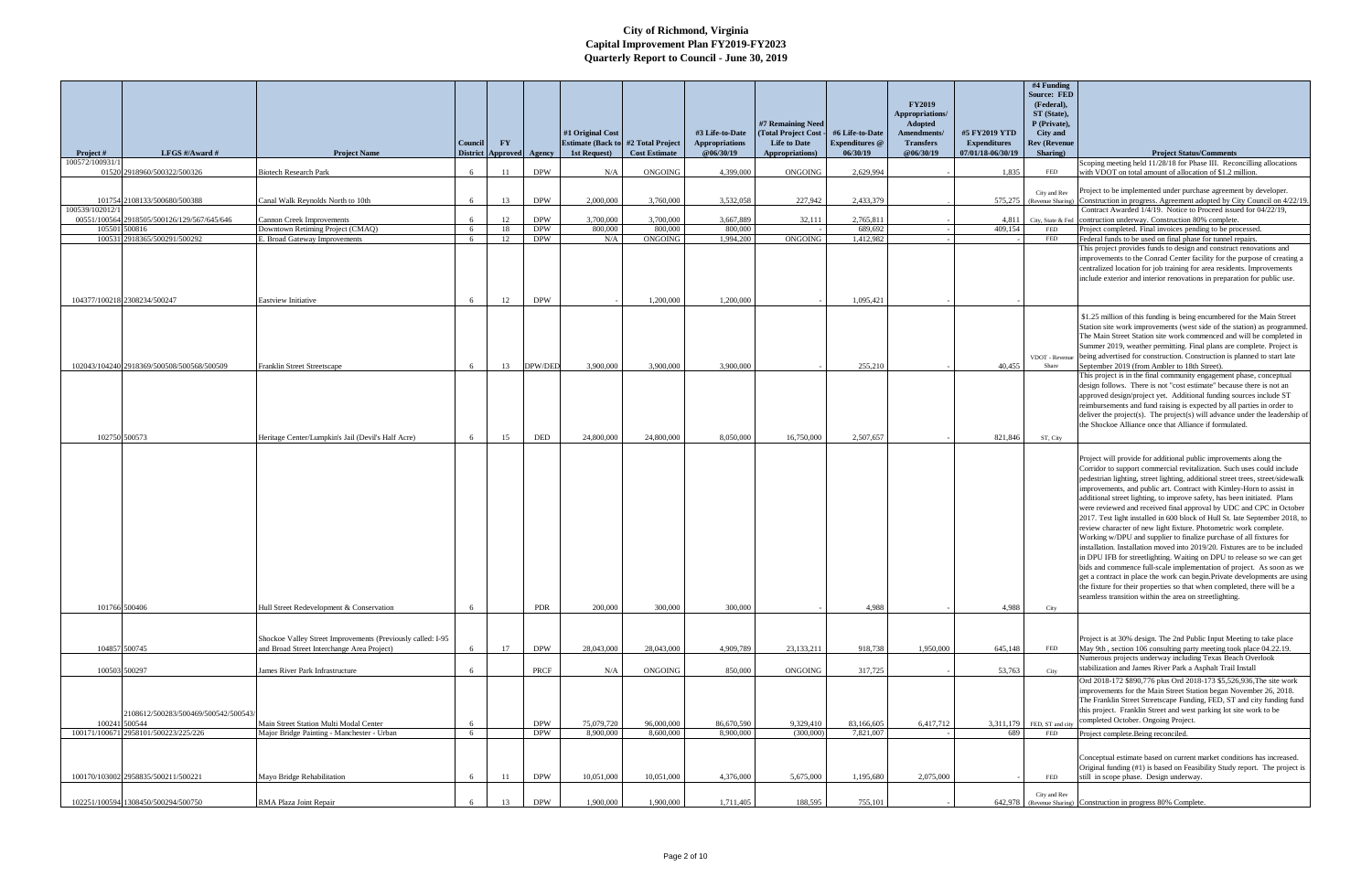| <b>Project</b> # | LFGS $\#/$ Award $\#$                                                                         | <b>Project Name</b>                                                                                       | Council<br><b>District</b> | <b>FY</b> | Approved Agency          | #1 Original Cost<br>1st Request) | <b>Estimate (Back to #2 Total Project</b><br><b>Cost Estimate</b> | #3 Life-to-Date<br><b>Appropriations</b><br>@06/30/19 | #7 Remaining Need<br>(Total Project Cost -<br><b>Life to Date</b><br>Appropriations) | #6 Life-to-Date<br><b>Expenditures</b> @<br>06/30/19 | <b>FY2019</b><br>Appropriations/<br><b>Adopted</b><br>Amendments/<br><b>Transfers</b><br>@06/30/19 | #5 FY2019 YTD<br><b>Expenditures</b><br>07/01/18-06/30/19 | #4 Funding<br><b>Source: FED</b><br>(Federal),<br>ST (State),<br>P (Private),<br><b>City</b> and<br><b>Rev (Revenue</b><br>Sharing) | <b>Project Status/Comments</b>                                                                                                                                                                                                                                                                                                                                                                                                                                                                                                                                                                                                                                                                                                                                                                                                                                                                                                                                                                                                                                                                                                           |
|------------------|-----------------------------------------------------------------------------------------------|-----------------------------------------------------------------------------------------------------------|----------------------------|-----------|--------------------------|----------------------------------|-------------------------------------------------------------------|-------------------------------------------------------|--------------------------------------------------------------------------------------|------------------------------------------------------|----------------------------------------------------------------------------------------------------|-----------------------------------------------------------|-------------------------------------------------------------------------------------------------------------------------------------|------------------------------------------------------------------------------------------------------------------------------------------------------------------------------------------------------------------------------------------------------------------------------------------------------------------------------------------------------------------------------------------------------------------------------------------------------------------------------------------------------------------------------------------------------------------------------------------------------------------------------------------------------------------------------------------------------------------------------------------------------------------------------------------------------------------------------------------------------------------------------------------------------------------------------------------------------------------------------------------------------------------------------------------------------------------------------------------------------------------------------------------|
| 100572/100931/1  |                                                                                               |                                                                                                           |                            |           |                          |                                  |                                                                   |                                                       |                                                                                      |                                                      |                                                                                                    |                                                           |                                                                                                                                     | Scoping meeting held 11/28/18 for Phase III. Reconcilling allocations                                                                                                                                                                                                                                                                                                                                                                                                                                                                                                                                                                                                                                                                                                                                                                                                                                                                                                                                                                                                                                                                    |
|                  | 01520 2918960/500322/500326                                                                   | <b>Biotech Research Park</b>                                                                              | 6                          | 11        | <b>DPW</b>               | N/A                              | ONGOING                                                           | 4,399,000                                             | ONGOING                                                                              | 2,629,994                                            |                                                                                                    | 1,835                                                     | FED                                                                                                                                 | with VDOT on total amount of allocation of \$1.2 million.                                                                                                                                                                                                                                                                                                                                                                                                                                                                                                                                                                                                                                                                                                                                                                                                                                                                                                                                                                                                                                                                                |
| 100539/102012    | 101754 2108133/500680/500388                                                                  | Canal Walk Revnolds North to 10th                                                                         | 6                          | 13        | <b>DPW</b>               | 2,000,000                        | 3,760,000                                                         | 3,532,058                                             | 227,942                                                                              | 2,433,379                                            |                                                                                                    | 575,275                                                   | City and Rev<br>(Revenue Sharin                                                                                                     | Project to be implemented under purchase agreement by developer.<br>Construction in progress. Agreement adopted by City Council on 4/22/19.<br>Contract Awarded 1/4/19. Notice to Proceed issued for 04/22/19,                                                                                                                                                                                                                                                                                                                                                                                                                                                                                                                                                                                                                                                                                                                                                                                                                                                                                                                           |
|                  | 00551/100564 2918505/500126/129/567/645/646                                                   | Cannon Creek Improvements                                                                                 | - 6                        | 12        | <b>DPW</b>               | 3,700,000                        | 3,700,000                                                         | 3.667.889                                             | 32,111                                                                               | 2,765,811                                            |                                                                                                    | 4.811                                                     | City, State & Fed                                                                                                                   | contruction underway. Construction 80% complete.                                                                                                                                                                                                                                                                                                                                                                                                                                                                                                                                                                                                                                                                                                                                                                                                                                                                                                                                                                                                                                                                                         |
|                  | 105501 500816                                                                                 | Downtown Retiming Project (CMAO)                                                                          | 6                          | 18        | <b>DPW</b>               | 800.000                          | 800,000                                                           | 800,000                                               |                                                                                      | 689.692                                              |                                                                                                    | 409.154                                                   | FED                                                                                                                                 | Project completed. Final invoices pending to be processed.                                                                                                                                                                                                                                                                                                                                                                                                                                                                                                                                                                                                                                                                                                                                                                                                                                                                                                                                                                                                                                                                               |
| 100531           | 2918365/500291/500292                                                                         | . Broad Gateway Improvements                                                                              | 6                          | 12        | <b>DPW</b>               | N/A                              | <b>ONGOING</b>                                                    | 1,994,200                                             | ONGOING                                                                              | 1,412,982                                            |                                                                                                    |                                                           | <b>FED</b>                                                                                                                          | Federal funds to be used on final phase for tunnel repairs.                                                                                                                                                                                                                                                                                                                                                                                                                                                                                                                                                                                                                                                                                                                                                                                                                                                                                                                                                                                                                                                                              |
|                  | 104377/100218 2308234/500247                                                                  | Eastview Initiative                                                                                       | 6                          | 12        | <b>DPW</b>               |                                  | 1,200,000                                                         | 1.200,000                                             |                                                                                      | 1,095,421                                            |                                                                                                    |                                                           |                                                                                                                                     | This project provides funds to design and construct renovations and<br>improvements to the Conrad Center facility for the purpose of creating a<br>centralized location for job training for area residents. Improvements<br>include exterior and interior renovations in preparation for public use.                                                                                                                                                                                                                                                                                                                                                                                                                                                                                                                                                                                                                                                                                                                                                                                                                                    |
|                  |                                                                                               |                                                                                                           |                            |           |                          |                                  |                                                                   |                                                       |                                                                                      |                                                      |                                                                                                    |                                                           |                                                                                                                                     |                                                                                                                                                                                                                                                                                                                                                                                                                                                                                                                                                                                                                                                                                                                                                                                                                                                                                                                                                                                                                                                                                                                                          |
|                  | 102043/104240 2918369/500508/500568/500509                                                    | Franklin Street Streetscape                                                                               | 6                          | 13        | DPW/DED                  | 3,900,000                        | 3,900,000                                                         | 3,900,000                                             |                                                                                      | 255,210                                              |                                                                                                    | 40,455                                                    | Share                                                                                                                               | \$1.25 million of this funding is being encumbered for the Main Street<br>Station site work improvements (west side of the station) as programmed.<br>The Main Street Station site work commenced and will be completed in<br>Summer 2019, weather permitting. Final plans are complete. Project is<br>VDOT - Revenue being advertised for construction. Construction is planned to start late<br>September 2019 (from Ambler to 18th Street).                                                                                                                                                                                                                                                                                                                                                                                                                                                                                                                                                                                                                                                                                           |
|                  |                                                                                               |                                                                                                           |                            |           |                          |                                  |                                                                   |                                                       |                                                                                      |                                                      |                                                                                                    |                                                           |                                                                                                                                     | This project is in the final community engagement phase, conceptual                                                                                                                                                                                                                                                                                                                                                                                                                                                                                                                                                                                                                                                                                                                                                                                                                                                                                                                                                                                                                                                                      |
|                  |                                                                                               |                                                                                                           |                            |           |                          |                                  |                                                                   |                                                       |                                                                                      |                                                      |                                                                                                    |                                                           |                                                                                                                                     | design follows. There is not "cost estimate" because there is not an<br>approved design/project yet. Additional funding sources include ST<br>reimbursements and fund raising is expected by all parties in order to<br>deliver the project(s). The project(s) will advance under the leadership of<br>the Shockoe Alliance once that Alliance if formulated.                                                                                                                                                                                                                                                                                                                                                                                                                                                                                                                                                                                                                                                                                                                                                                            |
|                  | 102750 500573                                                                                 | Heritage Center/Lumpkin's Jail (Devil's Half Acre)                                                        | 6                          | 15        | <b>DED</b>               | 24,800,000                       | 24,800,000                                                        | 8.050.000                                             | 16,750,000                                                                           | 2.507.657                                            |                                                                                                    | 821,846                                                   | ST, City                                                                                                                            |                                                                                                                                                                                                                                                                                                                                                                                                                                                                                                                                                                                                                                                                                                                                                                                                                                                                                                                                                                                                                                                                                                                                          |
|                  | 101766 500406                                                                                 | Hull Street Redevelopment & Conservation                                                                  | 6                          |           | <b>PDR</b>               | 200,000                          | 300,000                                                           | 300,000                                               |                                                                                      | 4,988                                                |                                                                                                    | 4,988                                                     | City                                                                                                                                | Project will provide for additional public improvements along the<br>Corridor to support commercial revitalization. Such uses could include<br>pedestrian lighting, street lighting, additional street trees, street/sidewalk<br>improvements, and public art. Contract with Kimley-Horn to assist in<br>additional street lighting, to improve safety, has been initiated. Plans<br>were reviewed and received final approval by UDC and CPC in October<br>2017. Test light installed in 600 block of Hull St. late September 2018, to<br>review character of new light fixture. Photometric work complete.<br>Working w/DPU and supplier to finalize purchase of all fixtures for<br>installation. Installation moved into 2019/20. Fixtures are to be included<br>in DPU IFB for streetlighting. Waiting on DPU to release so we can get<br>bids and commence full-scale implementation of project. As soon as we<br>get a contract in place the work can begin. Private developments are using<br>the fixture for their properties so that when completed, there will be a<br>seamless transition within the area on streetlighting. |
|                  |                                                                                               |                                                                                                           |                            |           |                          |                                  |                                                                   |                                                       |                                                                                      |                                                      |                                                                                                    |                                                           |                                                                                                                                     |                                                                                                                                                                                                                                                                                                                                                                                                                                                                                                                                                                                                                                                                                                                                                                                                                                                                                                                                                                                                                                                                                                                                          |
|                  | 104857 500745                                                                                 | Shockoe Valley Street Improvements (Previously called: I-95<br>and Broad Street Interchange Area Project) | 6                          | 17        | <b>DPW</b>               | 28,043,000                       | 28,043,000                                                        | 4,909,789                                             | 23, 133, 211                                                                         | 918,738                                              | 1,950,000                                                                                          | 645,148                                                   | <b>FED</b>                                                                                                                          | Project is at 30% design. The 2nd Public Input Meeting to take place<br>May 9th, section 106 consulting party meeting took place 04.22.19.                                                                                                                                                                                                                                                                                                                                                                                                                                                                                                                                                                                                                                                                                                                                                                                                                                                                                                                                                                                               |
|                  |                                                                                               |                                                                                                           |                            |           |                          |                                  |                                                                   |                                                       |                                                                                      |                                                      |                                                                                                    |                                                           |                                                                                                                                     | Numerous projects underway including Texas Beach Overlook<br>stabilization and James River Park a Asphalt Trail Install                                                                                                                                                                                                                                                                                                                                                                                                                                                                                                                                                                                                                                                                                                                                                                                                                                                                                                                                                                                                                  |
|                  | 100503 500297                                                                                 | James River Park Infrastructure                                                                           | - 6                        |           | PRCF                     | N/A                              | ONGOING                                                           | 850,000                                               | ONGOING                                                                              | 317,725                                              |                                                                                                    | 53,763                                                    | City                                                                                                                                | Ord 2018-172 \$890,776 plus Ord 2018-173 \$5,526,936,The site work                                                                                                                                                                                                                                                                                                                                                                                                                                                                                                                                                                                                                                                                                                                                                                                                                                                                                                                                                                                                                                                                       |
|                  | 2108612/500283/500469/500542/500543/<br>100241 500544<br>100171/100671 2958101/500223/225/226 | Main Street Station Multi Modal Center<br>Major Bridge Painting - Manchester - Urban                      | 6<br>6                     |           | <b>DPW</b><br><b>DPW</b> | 75,079,720<br>8,900,000          | 96,000,000<br>8,600,000                                           | 86,670,590<br>8,900,000                               | 9,329,410<br>(300,000)                                                               | 83,166,605<br>7,821,007                              | 6,417,712                                                                                          | 689                                                       | 3.311.179 FED, ST and city                                                                                                          | improvements for the Main Street Station began November 26, 2018.<br>The Franklin Street Streetscape Funding, FED, ST and city funding fund<br>this project. Franklin Street and west parking lot site work to be<br>completed October. Ongoing Project.                                                                                                                                                                                                                                                                                                                                                                                                                                                                                                                                                                                                                                                                                                                                                                                                                                                                                 |
|                  |                                                                                               |                                                                                                           |                            |           |                          |                                  |                                                                   |                                                       |                                                                                      |                                                      |                                                                                                    |                                                           | FED                                                                                                                                 | Project complete.Being reconciled.                                                                                                                                                                                                                                                                                                                                                                                                                                                                                                                                                                                                                                                                                                                                                                                                                                                                                                                                                                                                                                                                                                       |
|                  | 100170/103002 2958835/500211/500221                                                           | Mayo Bridge Rehabilitation                                                                                | 6                          | 11        | <b>DPW</b>               | 10,051,000                       | 10,051,000                                                        | 4,376,000                                             | 5,675,000                                                                            | 1,195,680                                            | 2,075,000                                                                                          |                                                           | FED                                                                                                                                 | Conceptual estimate based on current market conditions has increased.<br>Original funding (#1) is based on Feasibility Study report. The project is<br>still in scope phase. Design underway.                                                                                                                                                                                                                                                                                                                                                                                                                                                                                                                                                                                                                                                                                                                                                                                                                                                                                                                                            |
|                  | 102251/100594 1308450/500294/500750                                                           |                                                                                                           | 6                          |           | <b>DPW</b>               | 1,900,000                        |                                                                   |                                                       |                                                                                      |                                                      |                                                                                                    |                                                           | City and Rev                                                                                                                        |                                                                                                                                                                                                                                                                                                                                                                                                                                                                                                                                                                                                                                                                                                                                                                                                                                                                                                                                                                                                                                                                                                                                          |
|                  |                                                                                               | RMA Plaza Joint Repair                                                                                    |                            | 13        |                          |                                  | 1,900,000                                                         | 1,711,405                                             | 188,595                                                                              | 755,101                                              |                                                                                                    |                                                           |                                                                                                                                     | 642,978 (Revenue Sharing) Construction in progress 80% Complete.                                                                                                                                                                                                                                                                                                                                                                                                                                                                                                                                                                                                                                                                                                                                                                                                                                                                                                                                                                                                                                                                         |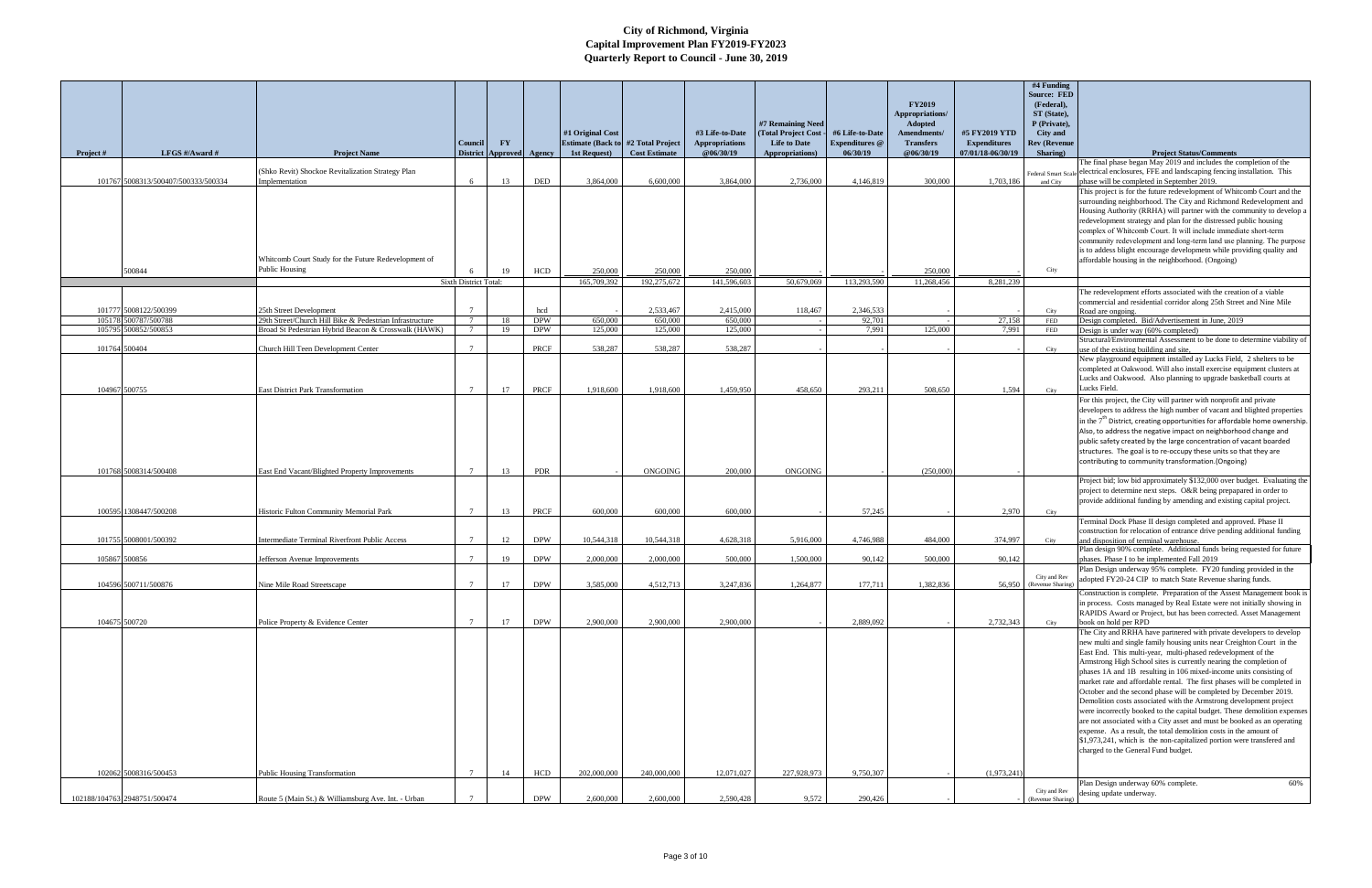| Project #                    | LFGS $\#/$ Award $\#$                        | <b>Project Name</b>                                                                                              | Council<br><b>District</b> | $\mathbf{F}\mathbf{Y}$<br>Approved | Agency                      | #1 Original Cost<br>1st Request) | <b>Estimate (Back to #2 Total Project)</b><br><b>Cost Estimate</b> | #3 Life-to-Date<br><b>Appropriations</b><br>@06/30/19 | #7 Remaining Need<br>(Total Project Cost<br><b>Life to Date</b><br>Appropriations) | #6 Life-to-Date<br><b>Expenditures</b> @<br>06/30/19 | <b>FY2019</b><br>Appropriations/<br>Adopted<br>Amendments/<br><b>Transfers</b><br>@06/30/19 | #5 FY2019 YTD<br><b>Expenditures</b><br>07/01/18-06/30/19 | #4 Funding<br><b>Source: FED</b><br>(Federal),<br>ST (State),<br>P (Private),<br><b>City</b> and<br><b>Rev (Revenue</b><br>Sharing) | <b>Project Status/Comments</b><br>The final phase began May 2019 and includes the completion of the                                                                                                                                                                                                                                                                                                                                                                                                                                                                                                                                                                                                                                                                                                                                                                                                                        |
|------------------------------|----------------------------------------------|------------------------------------------------------------------------------------------------------------------|----------------------------|------------------------------------|-----------------------------|----------------------------------|--------------------------------------------------------------------|-------------------------------------------------------|------------------------------------------------------------------------------------|------------------------------------------------------|---------------------------------------------------------------------------------------------|-----------------------------------------------------------|-------------------------------------------------------------------------------------------------------------------------------------|----------------------------------------------------------------------------------------------------------------------------------------------------------------------------------------------------------------------------------------------------------------------------------------------------------------------------------------------------------------------------------------------------------------------------------------------------------------------------------------------------------------------------------------------------------------------------------------------------------------------------------------------------------------------------------------------------------------------------------------------------------------------------------------------------------------------------------------------------------------------------------------------------------------------------|
|                              |                                              | (Shko Revit) Shockoe Revitalization Strategy Plan                                                                |                            |                                    |                             |                                  |                                                                    |                                                       |                                                                                    |                                                      |                                                                                             |                                                           | Federal Smart Sc                                                                                                                    | electrical enclosures, FFE and landscaping fencing installation. This                                                                                                                                                                                                                                                                                                                                                                                                                                                                                                                                                                                                                                                                                                                                                                                                                                                      |
|                              | 101767 5008313/500407/500333/500334          | Implementation                                                                                                   | 6                          | 13                                 | $\ensuremath{\mathsf{DED}}$ | 3,864,000                        | 6,600,000                                                          | 3,864,000                                             | 2,736,000                                                                          | 4,146,819                                            | 300,000                                                                                     | 1,703,186                                                 | and City                                                                                                                            | phase will be completed in September 2019.<br>This project is for the future redevelopment of Whitcomb Court and the                                                                                                                                                                                                                                                                                                                                                                                                                                                                                                                                                                                                                                                                                                                                                                                                       |
|                              | 500844                                       | Whitcomb Court Study for the Future Redevelopment of<br>Public Housing                                           |                            | 19                                 | HCD                         | 250,000                          | 250,000                                                            | 250,000                                               |                                                                                    |                                                      | 250,000                                                                                     |                                                           | City                                                                                                                                | surrounding neighborhood. The City and Richmond Redevelopment and<br>Housing Authority (RRHA) will partner with the community to develop a<br>redevelopment strategy and plan for the distressed public housing<br>complex of Whitcomb Court. It will include immediate short-term<br>community redevelopment and long-term land use planning. The purpose<br>is to addess blight encourage developmeth while providing quality and<br>affordable housing in the neighborhood. (Ongoing)                                                                                                                                                                                                                                                                                                                                                                                                                                   |
|                              |                                              |                                                                                                                  | Sixth District Total:      |                                    |                             | 165,709,392                      | 192,275,672                                                        | 141,596,603                                           | 50,679,069                                                                         | 113,293,590                                          | 11,268,456                                                                                  | 8,281,239                                                 |                                                                                                                                     |                                                                                                                                                                                                                                                                                                                                                                                                                                                                                                                                                                                                                                                                                                                                                                                                                                                                                                                            |
|                              | 101777 5008122/500399                        | 25th Street Development                                                                                          | $\overline{7}$             |                                    | hcd                         |                                  | 2.533,467                                                          | 2,415,000                                             | 118,467                                                                            | 2,346,533                                            |                                                                                             |                                                           | City                                                                                                                                | The redevelopment efforts associated with the creation of a viable<br>commercial and residential corridor along 25th Street and Nine Mile<br>Road are ongoing.                                                                                                                                                                                                                                                                                                                                                                                                                                                                                                                                                                                                                                                                                                                                                             |
|                              | 105178 500787/500788<br>105795 500852/500853 | 29th Street/Church Hill Bike & Pedestrian Infrastructure<br>Broad St Pedestrian Hybrid Beacon & Crosswalk (HAWK) | 7<br>$7\phantom{.0}$       | 18<br>19                           | <b>DPW</b><br><b>DPW</b>    | 650,000<br>125,000               | 650,000<br>125,000                                                 | 650,000<br>125,000                                    |                                                                                    | 92.701<br>7,991                                      | 125,000                                                                                     | 27,158<br>7,991                                           | <b>FED</b><br>FED                                                                                                                   | Design completed. Bid/Advertisement in June. 2019<br>Design is under way (60% completed)                                                                                                                                                                                                                                                                                                                                                                                                                                                                                                                                                                                                                                                                                                                                                                                                                                   |
| 101764 500404                |                                              | Church Hill Teen Development Center                                                                              | $\overline{7}$             |                                    | PRCF                        | 538,287                          | 538,287                                                            | 538,287                                               |                                                                                    |                                                      |                                                                                             |                                                           | City                                                                                                                                | Structural/Environmental Assessment to be done to determine viability of                                                                                                                                                                                                                                                                                                                                                                                                                                                                                                                                                                                                                                                                                                                                                                                                                                                   |
|                              |                                              |                                                                                                                  |                            |                                    |                             |                                  |                                                                    |                                                       |                                                                                    |                                                      |                                                                                             |                                                           |                                                                                                                                     | use of the existing building and site,<br>New playground equipment installed ay Lucks Field, 2 shelters to be<br>completed at Oakwood. Will also install exercise equipment clusters at<br>Lucks and Oakwood. Also planning to upgrade basketball courts at                                                                                                                                                                                                                                                                                                                                                                                                                                                                                                                                                                                                                                                                |
| 104967 500755                |                                              | <b>East District Park Transformation</b>                                                                         |                            | 17                                 | PRCF                        | 1,918,600                        | 1,918,600                                                          | 1,459,950                                             | 458,650                                                                            | 293,211                                              | 508,650                                                                                     | 1,594                                                     | City                                                                                                                                | Lucks Field.<br>For this project, the City will partner with nonprofit and private<br>developers to address the high number of vacant and blighted properties<br>in the $7th$ District, creating opportunities for affordable home ownership.<br>Also, to address the negative impact on neighborhood change and<br>public safety created by the large concentration of vacant boarded<br>structures. The goal is to re-occupy these units so that they are<br>contributing to community transformation. (Ongoing)                                                                                                                                                                                                                                                                                                                                                                                                         |
|                              | 101768 5008314/500408                        | East End Vacant/Blighted Property Improvements                                                                   | $\overline{7}$             | 13                                 | <b>PDR</b>                  |                                  | ONGOING                                                            | 200,000                                               | <b>ONGOING</b>                                                                     |                                                      | (250,000)                                                                                   |                                                           |                                                                                                                                     |                                                                                                                                                                                                                                                                                                                                                                                                                                                                                                                                                                                                                                                                                                                                                                                                                                                                                                                            |
|                              | 100595 1308447/500208                        | Historic Fulton Community Memorial Park                                                                          | $7\phantom{.0}$            | 13                                 | PRCF                        | 600,000                          | 600,000                                                            | 600,000                                               |                                                                                    | 57,245                                               |                                                                                             | 2,970                                                     | City                                                                                                                                | Project bid; low bid approximately \$132,000 over budget. Evaluating the<br>project to determine next steps. O&R being prepapared in order to<br>provide additional funding by amending and existing capital project.                                                                                                                                                                                                                                                                                                                                                                                                                                                                                                                                                                                                                                                                                                      |
|                              |                                              |                                                                                                                  |                            |                                    |                             |                                  |                                                                    |                                                       |                                                                                    |                                                      |                                                                                             |                                                           |                                                                                                                                     | Terminal Dock Phase II design completed and approved. Phase II                                                                                                                                                                                                                                                                                                                                                                                                                                                                                                                                                                                                                                                                                                                                                                                                                                                             |
|                              | 101755 5008001/500392                        | Intermediate Terminal Riverfront Public Access                                                                   | $\overline{7}$             | 12                                 | <b>DPW</b>                  | 10,544,318                       | 10,544,318                                                         | 4,628,318                                             | 5,916,000                                                                          | 4,746,988                                            | 484,000                                                                                     | 374,997                                                   | City                                                                                                                                | construction for relocation of entrance drive pending additional funding<br>and disposition of terminal warehouse.                                                                                                                                                                                                                                                                                                                                                                                                                                                                                                                                                                                                                                                                                                                                                                                                         |
| 105867 500856                |                                              | Jefferson Avenue Improvements                                                                                    | $\overline{7}$             | 19                                 | <b>DPW</b>                  | 2,000,000                        | 2,000,000                                                          | 500,000                                               | 1,500,000                                                                          | 90,142                                               | 500,000                                                                                     | 90,142                                                    |                                                                                                                                     | Plan design 90% complete. Additional funds being requested for future<br>phases. Phase I to be implemented Fall 2019                                                                                                                                                                                                                                                                                                                                                                                                                                                                                                                                                                                                                                                                                                                                                                                                       |
|                              |                                              |                                                                                                                  |                            |                                    |                             |                                  |                                                                    |                                                       |                                                                                    |                                                      |                                                                                             |                                                           | City and Rev                                                                                                                        | Plan Design underway 95% complete. FY20 funding provided in the<br>adopted FY20-24 CIP to match State Revenue sharing funds.                                                                                                                                                                                                                                                                                                                                                                                                                                                                                                                                                                                                                                                                                                                                                                                               |
|                              | 104596 500711/500876                         | Nine Mile Road Streetscape                                                                                       | $\mathcal{I}$              | 17                                 | <b>DPW</b>                  | 3,585,000                        | 4,512,713                                                          | 3,247,836                                             | 1,264,877                                                                          | 177,711                                              | 1,382,836                                                                                   |                                                           | 56,950 (Revenue Sharing)                                                                                                            | Construction is complete. Preparation of the Assest Management book is<br>in process. Costs managed by Real Estate were not initially showing in                                                                                                                                                                                                                                                                                                                                                                                                                                                                                                                                                                                                                                                                                                                                                                           |
| 104675 500720                |                                              | Police Property & Evidence Center                                                                                |                            | 17                                 | <b>DPW</b>                  | 2,900,000                        | 2,900,000                                                          | 2,900,000                                             |                                                                                    | 2,889,092                                            |                                                                                             | 2,732,343                                                 | City                                                                                                                                | RAPIDS Award or Project, but has been corrected. Asset Management<br>book on hold per RPD                                                                                                                                                                                                                                                                                                                                                                                                                                                                                                                                                                                                                                                                                                                                                                                                                                  |
|                              |                                              |                                                                                                                  |                            |                                    |                             |                                  |                                                                    |                                                       |                                                                                    |                                                      |                                                                                             |                                                           |                                                                                                                                     | The City and RRHA have partnered with private developers to develop<br>new multi and single family housing units near Creighton Court in the<br>East End. This multi-year, multi-phased redevelopment of the<br>Armstrong High School sites is currently nearing the completion of<br>phases 1A and 1B resulting in 106 mixed-income units consisting of<br>market rate and affordable rental. The first phases will be completed in<br>October and the second phase will be completed by December 2019.<br>Demolition costs associated with the Armstrong development project<br>were incorrectly booked to the capital budget. These demolition expenses<br>are not associated with a City asset and must be booked as an operating<br>expense. As a result, the total demolition costs in the amount of<br>\$1,973,241, which is the non-capitalized portion were transfered and<br>charged to the General Fund budget. |
|                              | 102062 5008316/500453                        | <b>Public Housing Transformation</b>                                                                             | $7\phantom{.0}$            | 14                                 | <b>HCD</b>                  | 202,000,000                      | 240,000,000                                                        | 12,071,027                                            | 227,928,973                                                                        | 9,750,307                                            |                                                                                             | (1,973,241)                                               |                                                                                                                                     | Plan Design underway 60% complete.<br>60%                                                                                                                                                                                                                                                                                                                                                                                                                                                                                                                                                                                                                                                                                                                                                                                                                                                                                  |
| 102188/104763 2948751/500474 |                                              | Route 5 (Main St.) & Williamsburg Ave. Int. - Urban                                                              |                            |                                    | <b>DPW</b>                  | 2,600,000                        | 2,600,000                                                          | 2,590,428                                             | 9.572                                                                              | 290,426                                              |                                                                                             |                                                           | City and Rev<br>(Revenue Sharing                                                                                                    | desing update underway.                                                                                                                                                                                                                                                                                                                                                                                                                                                                                                                                                                                                                                                                                                                                                                                                                                                                                                    |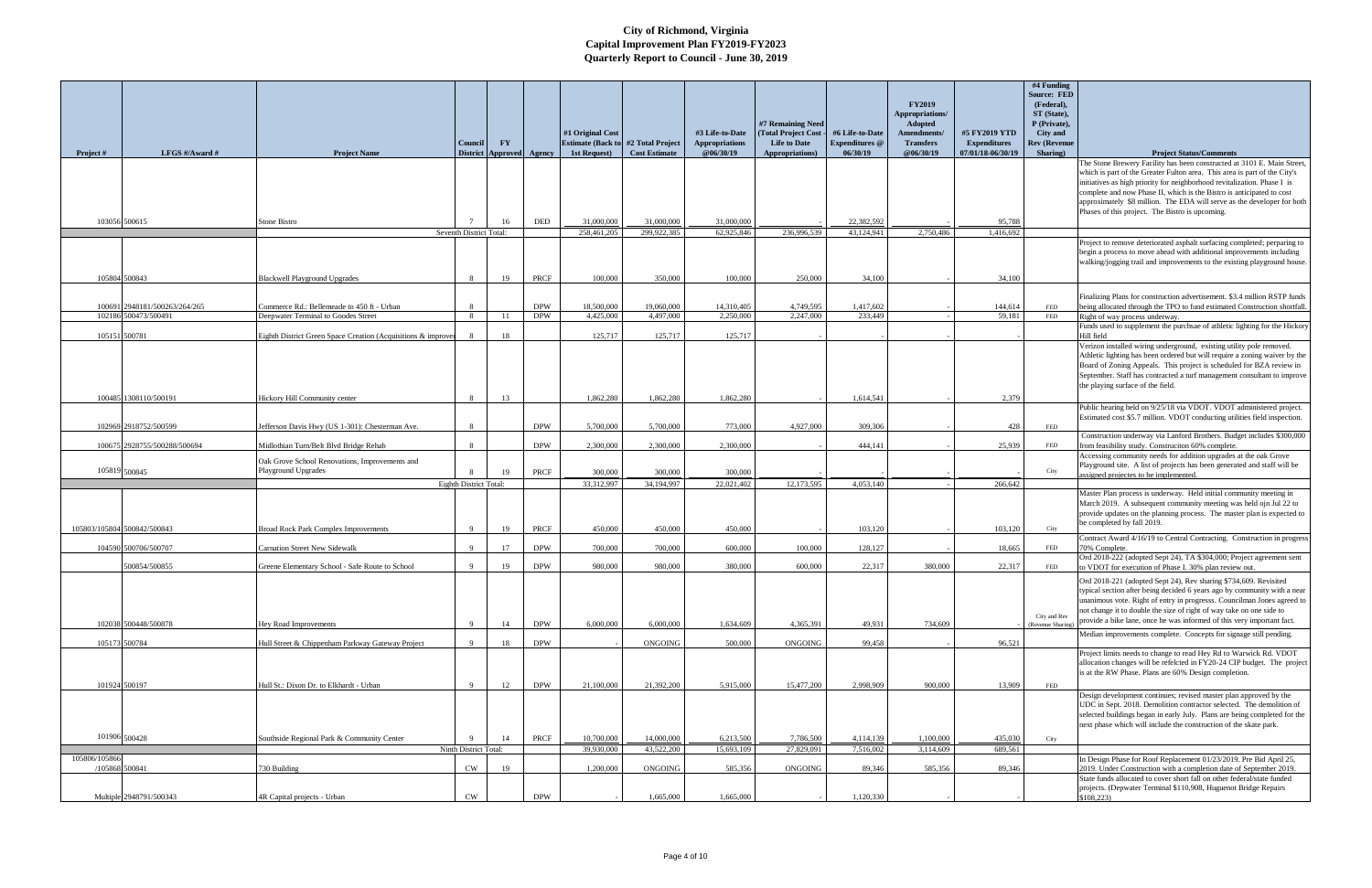| Project #                   | LFGS $\#/$ Award $\#$         | <b>Project Name</b>                                                   | Council                 | $\mathbf{F}\mathbf{Y}$<br>District Approved Agency |             | #1 Original Cost<br>1st Request) | <b>Estimate (Back to #2 Total Project</b><br><b>Cost Estimate</b> | #3 Life-to-Date<br><b>Appropriations</b><br>@06/30/19 | #7 Remaining Need<br>Total Project Cost<br><b>Life to Date</b><br>Appropriations) | #6 Life-to-Date<br><b>Expenditures</b> @<br>06/30/19 | <b>FY2019</b><br>Appropriations/<br><b>Adopted</b><br>Amendments/<br><b>Transfers</b><br>@06/30/19 | #5 FY2019 YTD<br><b>Expenditures</b><br>07/01/18-06/30/19 | #4 Funding<br><b>Source: FED</b><br>(Federal),<br>ST (State),<br>P (Private),<br><b>City</b> and<br><b>Rev (Revenue</b><br>Sharing) | <b>Project Status/Comments</b>                                                                                                                                                                                                                                                                                                                                            |
|-----------------------------|-------------------------------|-----------------------------------------------------------------------|-------------------------|----------------------------------------------------|-------------|----------------------------------|-------------------------------------------------------------------|-------------------------------------------------------|-----------------------------------------------------------------------------------|------------------------------------------------------|----------------------------------------------------------------------------------------------------|-----------------------------------------------------------|-------------------------------------------------------------------------------------------------------------------------------------|---------------------------------------------------------------------------------------------------------------------------------------------------------------------------------------------------------------------------------------------------------------------------------------------------------------------------------------------------------------------------|
|                             |                               |                                                                       |                         |                                                    |             |                                  |                                                                   |                                                       |                                                                                   |                                                      |                                                                                                    |                                                           |                                                                                                                                     | The Stone Brewery Facility has been constructed at 3101 E. Main Street,                                                                                                                                                                                                                                                                                                   |
|                             |                               |                                                                       |                         |                                                    |             |                                  |                                                                   |                                                       |                                                                                   |                                                      |                                                                                                    |                                                           |                                                                                                                                     | which is part of the Greater Fulton area. This area is part of the City's<br>initiatives as high priority for neighborhood revitalization. Phase I is<br>complete and now Phase II, which is the Bistro is anticipated to cost                                                                                                                                            |
|                             |                               |                                                                       |                         |                                                    |             |                                  |                                                                   |                                                       |                                                                                   |                                                      |                                                                                                    |                                                           |                                                                                                                                     | approximately \$8 million. The EDA will serve as the developer for both<br>Phases of this project. The Bistro is upcoming.                                                                                                                                                                                                                                                |
| 103056 500615               |                               | Stone Bistro                                                          |                         | 16                                                 | <b>DED</b>  | 31,000,000                       | 31,000,000                                                        | 31,000,000                                            |                                                                                   | 22,382,592                                           |                                                                                                    | 95,788                                                    |                                                                                                                                     |                                                                                                                                                                                                                                                                                                                                                                           |
|                             |                               |                                                                       | Seventh District Total: |                                                    |             | 258,461,205                      | 299,922,385                                                       | 62,925,846                                            | 236,996,539                                                                       | 43,124,941                                           | 2,750,486                                                                                          | 1,416,692                                                 |                                                                                                                                     | Project to remove deteriorated asphalt surfacing completed; perparing to                                                                                                                                                                                                                                                                                                  |
|                             |                               |                                                                       |                         |                                                    |             |                                  |                                                                   |                                                       |                                                                                   |                                                      |                                                                                                    |                                                           |                                                                                                                                     | begin a process to move ahead with additional improvements including<br>walking/jogging trail and improvements to the existing playground house.                                                                                                                                                                                                                          |
| 105804 500843               |                               | <b>Blackwell Playground Upgrades</b>                                  | 8                       | 19                                                 | PRCF        | 100,000                          | 350,000                                                           | 100,000                                               | 250,000                                                                           | 34,100                                               |                                                                                                    | 34,100                                                    |                                                                                                                                     |                                                                                                                                                                                                                                                                                                                                                                           |
|                             | 100691 2948181/500263/264/265 | Commerce Rd.: Bellemeade to 450 ft - Urban                            | $\mathbf{R}$            |                                                    | <b>DPW</b>  | 18,500,000                       | 19,060,000                                                        | 14,310,405                                            | 4,749,595                                                                         | 1,417,602                                            |                                                                                                    | 144,614                                                   | FED                                                                                                                                 | Finalizing Plans for construction advertisement. \$3.4 million RSTP funds<br>being allocated through the TPO to fund estimated Construction shortfall.                                                                                                                                                                                                                    |
|                             | 102186 500473/500491          | Deepwater Terminal to Goodes Street                                   | -8                      | <sup>11</sup>                                      | <b>DPW</b>  | 4,425,000                        | 4,497,000                                                         | 2,250,000                                             | 2,247,000                                                                         | 233,449                                              |                                                                                                    | 59,181                                                    | FED                                                                                                                                 | Right of way process underway.                                                                                                                                                                                                                                                                                                                                            |
| 105151 500781               |                               | Eighth District Green Space Creation (Acquisitions & improver         | - 8                     | 18                                                 |             | 125,717                          | 125,717                                                           | 125,717                                               |                                                                                   |                                                      |                                                                                                    |                                                           |                                                                                                                                     | Funds used to supplement the purchsae of athletic lighting for the Hickory<br>Hill field                                                                                                                                                                                                                                                                                  |
|                             |                               |                                                                       |                         |                                                    |             |                                  |                                                                   |                                                       |                                                                                   |                                                      |                                                                                                    |                                                           |                                                                                                                                     | Verizon installed wiring underground, existing utility pole removed.<br>Athletic lighting has been ordered but will require a zoning waiver by the<br>Board of Zoning Appeals. This project is scheduled for BZA review in<br>September. Staff has contracted a turf management consultant to improve                                                                     |
|                             | 100485 1308110/500191         | Hickory Hill Community center                                         | 8                       | 13                                                 |             | 1,862,280                        | 1,862,280                                                         | 1,862,280                                             |                                                                                   | 1,614,541                                            |                                                                                                    | 2,379                                                     |                                                                                                                                     | the playing surface of the field.                                                                                                                                                                                                                                                                                                                                         |
|                             | 102969 2918752/500599         | Jefferson Davis Hwy (US 1-301): Chesterman Ave.                       | 8                       |                                                    | <b>DPW</b>  | 5,700,000                        | 5,700,000                                                         | 773,000                                               | 4,927,000                                                                         | 309,306                                              |                                                                                                    | 428                                                       | FED                                                                                                                                 | Public hearing held on 9/25/18 via VDOT. VDOT administered project.<br>Estimated cost \$5.7 million. VDOT conducting utilities field inspection.                                                                                                                                                                                                                          |
|                             | 100675 2928755/500288/500694  | Midlothian Turn/Belt Blvd Bridge Rehab                                | 8                       |                                                    | <b>DPW</b>  | 2,300,000                        | 2,300,000                                                         | 2,300,000                                             |                                                                                   | 444,141                                              |                                                                                                    | 25,939                                                    | FED                                                                                                                                 | Construction underway via Lanford Brothers. Budget includes \$300,000<br>from feasibility study. Construciton 60% complete.                                                                                                                                                                                                                                               |
| 105819 500845               |                               | Oak Grove School Renovations, Improvements and<br>Playground Upgrades |                         | -19                                                | <b>PRCF</b> | 300,000                          | 300,000                                                           | 300,000                                               |                                                                                   |                                                      |                                                                                                    |                                                           | City                                                                                                                                | Accessing community needs for addition upgrades at the oak Grove<br>Playground site. A list of projects has been generated and staff will be                                                                                                                                                                                                                              |
|                             |                               |                                                                       | Eighth District Total:  |                                                    |             | 33,312,997                       | 34,194,997                                                        | 22,021,402                                            | 12,173,595                                                                        | 4,053,140                                            |                                                                                                    | 266,642                                                   |                                                                                                                                     | assigned projectes to be implemented.                                                                                                                                                                                                                                                                                                                                     |
|                             |                               |                                                                       |                         |                                                    |             |                                  |                                                                   |                                                       |                                                                                   |                                                      |                                                                                                    |                                                           |                                                                                                                                     | Master Plan process is underway. Held initial community meeting in<br>March 2019. A subsequent community meeting was held ojn Jul 22 to<br>provide updates on the planning process. The master plan is expected to                                                                                                                                                        |
| 105803/105804 500842/500843 |                               | <b>Broad Rock Park Complex Improvements</b>                           | $\mathbf{q}$            | 19                                                 | <b>PRCF</b> | 450,000                          | 450,000                                                           | 450,000                                               |                                                                                   | 103,120                                              |                                                                                                    | 103,120                                                   | City                                                                                                                                | be completed by fall 2019.<br>Contract Award 4/16/19 to Central Contracting. Construction in progress                                                                                                                                                                                                                                                                     |
|                             | 104590 500706/500707          | <b>Carnation Street New Sidewalk</b>                                  | $\mathbf{Q}$            | 17                                                 | <b>DPW</b>  | 700,000                          | 700,000                                                           | 600,000                                               | 100,000                                                                           | 128,127                                              |                                                                                                    | 18,665                                                    | FED                                                                                                                                 | 70% Complete.                                                                                                                                                                                                                                                                                                                                                             |
|                             | 500854/500855                 | Greene Elementary School - Safe Route to School                       | -9                      | 19                                                 | <b>DPW</b>  | 980,000                          | 980,000                                                           | 380,000                                               | 600,000                                                                           | 22,317                                               | 380,000                                                                                            | 22,317                                                    | FED                                                                                                                                 | Ord 2018-222 (adopted Sept 24), TA \$304,000; Project agreement sent<br>to VDOT for execution of Phase I. 30% plan review out.                                                                                                                                                                                                                                            |
|                             |                               |                                                                       |                         |                                                    |             |                                  |                                                                   |                                                       |                                                                                   |                                                      |                                                                                                    |                                                           | City and Rev                                                                                                                        | Ord 2018-221 (adopted Sept 24), Rev sharing \$734,609. Revisited<br>typical section after being decided 6 years ago by community with a near<br>unanimous vote. Right of entry in progresss. Councilman Jones agreed to<br>not change it to double the size of right of way take on one side to<br>provide a bike lane, once he was informed of this very important fact. |
|                             | 102038 500448/500878          | Hey Road Improvements                                                 | -9                      | 14                                                 | <b>DPW</b>  | 6,000,000                        | 6,000,000                                                         | 1,634,609                                             | 4,365,391                                                                         | 49,931                                               | 734,609                                                                                            |                                                           | (Revenue Sharing)                                                                                                                   | Median improvements complete. Concepts for signage still pending.                                                                                                                                                                                                                                                                                                         |
| 105173 500784               |                               | Hull Street & Chippenham Parkway Gateway Project                      | $\mathbf{q}$            | 18                                                 | <b>DPW</b>  |                                  | <b>ONGOING</b>                                                    | 500,000                                               | ONGOING                                                                           | 99,458                                               |                                                                                                    | 96,521                                                    |                                                                                                                                     | Project limits needs to change to read Hey Rd to Warwick Rd. VDOT                                                                                                                                                                                                                                                                                                         |
| 101924 500197               |                               |                                                                       | $\overline{9}$          | 12                                                 | <b>DPW</b>  | 21,100,000                       | 21,392,200                                                        | 5,915,000                                             | 15,477,200                                                                        | 2,998,909                                            | 900,000                                                                                            | 13,909                                                    |                                                                                                                                     | allocation changes will be refelcted in FY20-24 CIP budget. The project<br>is at the RW Phase. Plans are 60% Design completion.                                                                                                                                                                                                                                           |
|                             |                               | Hull St.: Dixon Dr. to Elkhardt - Urban                               |                         |                                                    |             |                                  |                                                                   |                                                       |                                                                                   |                                                      |                                                                                                    |                                                           | FED                                                                                                                                 | Design development continues; revised master plan approved by the<br>UDC in Sept. 2018. Demolition contractor selected. The demolition of<br>selected buildings began in early July. Plans are being completed for the<br>next phase which will include the construction of the skate park.                                                                               |
| 101906 500428               |                               | Southside Regional Park & Community Center                            | Ninth District Total:   | 14                                                 | <b>PRCF</b> | 10,700,000<br>39,930,000         | 14,000,000<br>43,522,200                                          | 6,213,500<br>15,693,109                               | 7,786,500<br>27,829,091                                                           | 4,114,139<br>7,516,002                               | 1,100,000<br>3,114,609                                                                             | 435,030<br>689,561                                        | City                                                                                                                                |                                                                                                                                                                                                                                                                                                                                                                           |
| 105806/105866               |                               |                                                                       |                         |                                                    |             |                                  |                                                                   |                                                       |                                                                                   |                                                      |                                                                                                    |                                                           |                                                                                                                                     | In Design Phase for Roof Replacement 01/23/2019. Pre Bid April 25,                                                                                                                                                                                                                                                                                                        |
| /105868 500841              |                               | 730 Building                                                          | CW                      | 19                                                 |             | 1,200,000                        | ONGOING                                                           | 585,356                                               | ONGOING                                                                           | 89,346                                               | 585,356                                                                                            | 89,346                                                    |                                                                                                                                     | 2019. Under Construction with a completion date of September 2019.<br>State funds allocated to cover short fall on other federal/state funded<br>projects. (Depwater Terminal \$110,908, Huguenot Bridge Repairs                                                                                                                                                          |
|                             | Multiple 2948791/500343       | 4R Capital projects - Urban                                           | CW                      |                                                    | <b>DPW</b>  |                                  | 1,665,000                                                         | 1,665,000                                             |                                                                                   | 1,120,330                                            |                                                                                                    |                                                           |                                                                                                                                     | \$108,223                                                                                                                                                                                                                                                                                                                                                                 |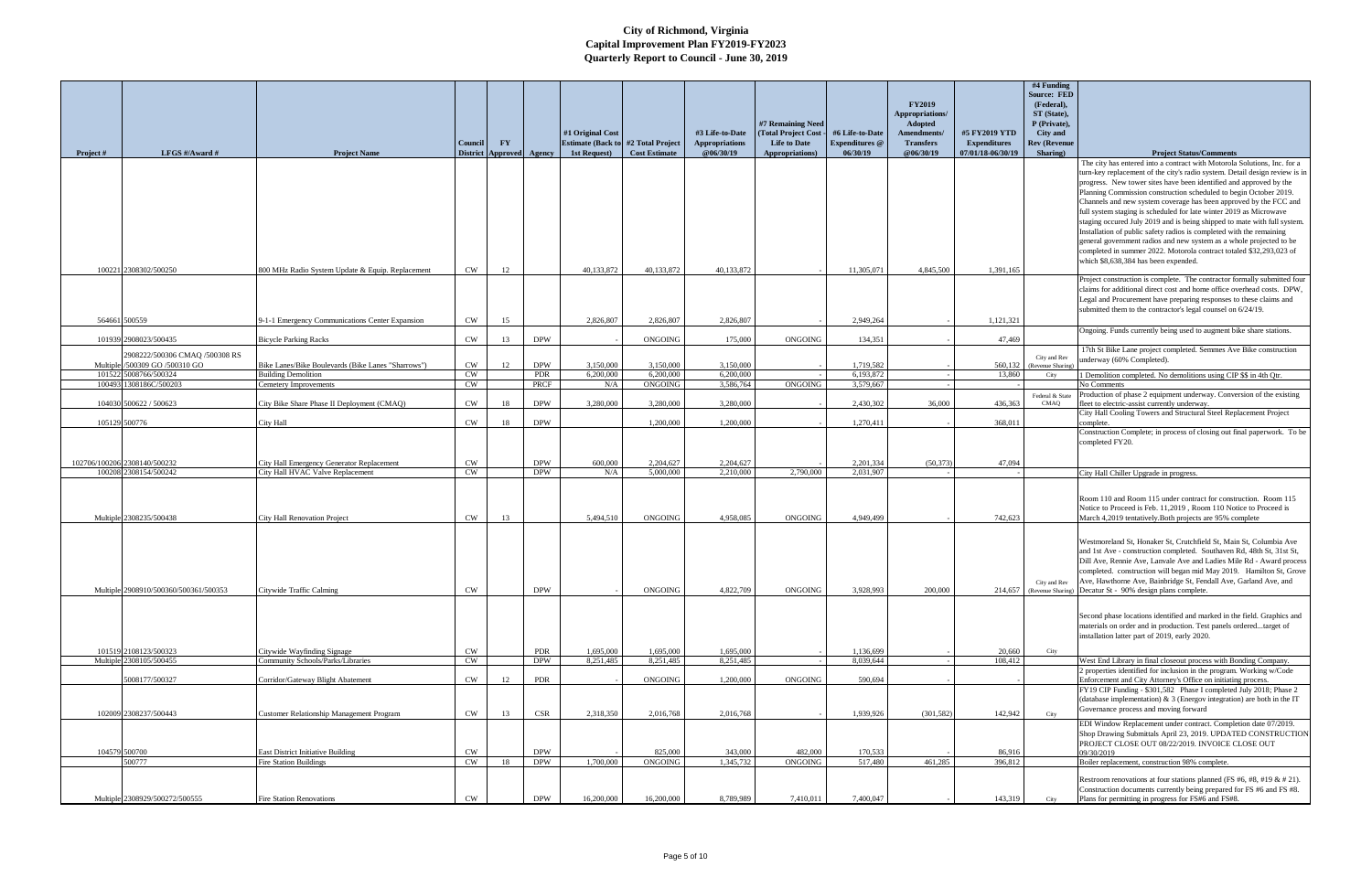|           |                                       |                                                                           |                        |                          |            |                  |                                           |                       |                       |                       |                  |                     | #4 Funding          |                                                                               |
|-----------|---------------------------------------|---------------------------------------------------------------------------|------------------------|--------------------------|------------|------------------|-------------------------------------------|-----------------------|-----------------------|-----------------------|------------------|---------------------|---------------------|-------------------------------------------------------------------------------|
|           |                                       |                                                                           |                        |                          |            |                  |                                           |                       |                       |                       |                  |                     | <b>Source: FED</b>  |                                                                               |
|           |                                       |                                                                           |                        |                          |            |                  |                                           |                       |                       |                       | <b>FY2019</b>    |                     | (Federal),          |                                                                               |
|           |                                       |                                                                           |                        |                          |            |                  |                                           |                       |                       |                       | Appropriations/  |                     | ST (State),         |                                                                               |
|           |                                       |                                                                           |                        |                          |            |                  |                                           |                       | #7 Remaining Need     |                       | <b>Adopted</b>   |                     | P (Private),        |                                                                               |
|           |                                       |                                                                           |                        |                          |            | #1 Original Cost |                                           | #3 Life-to-Date       | (Total Project Cost - | #6 Life-to-Date       | Amendments/      | #5 FY2019 YTD       | <b>City</b> and     |                                                                               |
|           |                                       |                                                                           | <b>Council</b>         | $\mathbf{F}\mathbf{Y}$   |            |                  | <b>Estimate (Back to #2 Total Project</b> | <b>Appropriations</b> | <b>Life to Date</b>   | <b>Expenditures</b> @ | <b>Transfers</b> | <b>Expenditures</b> | <b>Rev (Revenue</b> |                                                                               |
|           | LFGS #/Award #                        |                                                                           |                        |                          |            | 1st Request)     | <b>Cost Estimate</b>                      | @06/30/19             |                       | 06/30/19              | @06/30/19        | 07/01/18-06/30/19   | Sharing)            |                                                                               |
| Project # |                                       | <b>Project Name</b>                                                       |                        | <b>District Approved</b> | Agency     |                  |                                           |                       | Appropriations)       |                       |                  |                     |                     | <b>Project Status/Comments</b>                                                |
|           |                                       |                                                                           |                        |                          |            |                  |                                           |                       |                       |                       |                  |                     |                     | The city has entered into a contract with Motorola Solutions, Inc. for a      |
|           |                                       |                                                                           |                        |                          |            |                  |                                           |                       |                       |                       |                  |                     |                     | turn-key replacement of the city's radio system. Detail design review is in   |
|           |                                       |                                                                           |                        |                          |            |                  |                                           |                       |                       |                       |                  |                     |                     | progress. New tower sites have been identified and approved by the            |
|           |                                       |                                                                           |                        |                          |            |                  |                                           |                       |                       |                       |                  |                     |                     | Planning Commission construction scheduled to begin October 2019.             |
|           |                                       |                                                                           |                        |                          |            |                  |                                           |                       |                       |                       |                  |                     |                     | Channels and new system coverage has been approved by the FCC and             |
|           |                                       |                                                                           |                        |                          |            |                  |                                           |                       |                       |                       |                  |                     |                     | full system staging is scheduled for late winter 2019 as Microwave            |
|           |                                       |                                                                           |                        |                          |            |                  |                                           |                       |                       |                       |                  |                     |                     | staging occured July 2019 and is being shipped to mate with full system.      |
|           |                                       |                                                                           |                        |                          |            |                  |                                           |                       |                       |                       |                  |                     |                     | Installation of public safety radios is completed with the remaining          |
|           |                                       |                                                                           |                        |                          |            |                  |                                           |                       |                       |                       |                  |                     |                     | general government radios and new system as a whole projected to be           |
|           |                                       |                                                                           |                        |                          |            |                  |                                           |                       |                       |                       |                  |                     |                     | completed in summer 2022. Motorola contract totaled \$32,293,023 of           |
|           |                                       |                                                                           |                        |                          |            |                  |                                           |                       |                       |                       |                  |                     |                     | which \$8,638,384 has been expended.                                          |
|           | 100221 2308302/500250                 | 800 MHz Radio System Update & Equip. Replacement                          | CW                     | 12                       |            | 40.133.872       | 40.133.872                                | 40.133.872            |                       | 11,305,071            | 4,845,500        | 1,391,165           |                     |                                                                               |
|           |                                       |                                                                           |                        |                          |            |                  |                                           |                       |                       |                       |                  |                     |                     | Project construction is complete. The contractor formally submitted four      |
|           |                                       |                                                                           |                        |                          |            |                  |                                           |                       |                       |                       |                  |                     |                     | claims for additional direct cost and home office overhead costs. DPW,        |
|           |                                       |                                                                           |                        |                          |            |                  |                                           |                       |                       |                       |                  |                     |                     |                                                                               |
|           |                                       |                                                                           |                        |                          |            |                  |                                           |                       |                       |                       |                  |                     |                     | Legal and Procurement have preparing responses to these claims and            |
|           |                                       |                                                                           |                        |                          |            |                  |                                           |                       |                       |                       |                  |                     |                     | submitted them to the contractor's legal counsel on 6/24/19.                  |
|           | 564661 500559                         | 9-1-1 Emergency Communications Center Expansion                           | CW                     | 15                       |            | 2,826,807        | 2,826,807                                 | 2,826,807             |                       | 2,949,264             |                  | 1,121,321           |                     |                                                                               |
|           |                                       |                                                                           |                        |                          |            |                  |                                           |                       |                       |                       |                  |                     |                     | Ongoing. Funds currently being used to augment bike share stations.           |
|           | 101939 2908023/500435                 | <b>Bicycle Parking Racks</b>                                              | <b>CW</b>              | 13                       | <b>DPW</b> |                  | <b>ONGOING</b>                            | 175,000               | <b>ONGOING</b>        | 134.351               |                  | 47,469              |                     |                                                                               |
|           | 2908222/500306 CMAQ /500308 RS        |                                                                           |                        |                          |            |                  |                                           |                       |                       |                       |                  |                     | City and Rev        | 17th St Bike Lane project completed. Semmes Ave Bike construction             |
|           | Multiple /500309 GO /500310 GO        | Bike Lanes/Bike Boulevards (Bike Lanes "Sharrows")                        | <b>CW</b>              | 12                       | <b>DPW</b> | 3,150,000        | 3,150,000                                 | 3,150,000             |                       | 1,719,582             |                  | 560,132             | (Revenue Sharing    | inderway (60% Completed).                                                     |
| 10152     | 5008766/500324                        | <b>Building Demolition</b>                                                | <b>CW</b>              |                          | PDR        | 6,200,000        | 6,200,000                                 | 6,200,000             |                       | 6,193,872             |                  | 13,860              | City                | 1 Demolition completed. No demolitions using CIP \$\$ in 4th Qtr.             |
| 100493    | 308186C/500203                        | Cemetery Improvements                                                     | <b>CW</b>              |                          | PRCF       | N/A              | <b>ONGOING</b>                            | 3,586,764             | <b>ONGOING</b>        | 3,579,667             |                  |                     |                     | No Comments                                                                   |
|           |                                       |                                                                           |                        |                          |            |                  |                                           |                       |                       |                       |                  |                     | Federal & Stat      | Production of phase 2 equipment underway. Conversion of the existing          |
|           | 104030 500622 / 500623                | City Bike Share Phase II Deployment (CMAO)                                | CW                     | 18                       | <b>DPW</b> | 3,280,000        | 3,280,000                                 | 3,280,000             |                       | 2,430,302             | 36,000           | 436,363             | <b>CMAO</b>         | fleet to electric-assist currently underway.                                  |
|           |                                       |                                                                           |                        |                          |            |                  |                                           |                       |                       |                       |                  |                     |                     | City Hall Cooling Towers and Structural Steel Replacement Project             |
|           | 105129 500776                         | City Hall                                                                 | CW                     | 18                       | <b>DPW</b> |                  | 1.200.000                                 | 1.200.000             |                       | 1.270.411             |                  | 368,011             |                     | complete.                                                                     |
|           |                                       |                                                                           |                        |                          |            |                  |                                           |                       |                       |                       |                  |                     |                     | Construction Complete; in process of closing out final paperwork. To be       |
|           |                                       |                                                                           |                        |                          |            |                  |                                           |                       |                       |                       |                  |                     |                     | completed FY20.                                                               |
|           |                                       |                                                                           |                        |                          |            |                  |                                           |                       |                       |                       |                  |                     |                     |                                                                               |
|           | 102706/100206 2308140/500232          | City Hall Emergency Generator Replacement                                 | <b>CW</b>              |                          | <b>DPW</b> | 600,000          | 2,204,627                                 | 2,204,627             |                       | 2,201,334             | (50, 373)        | 47,094              |                     |                                                                               |
|           | 100208 2308154/500242                 | City Hall HVAC Valve Replacement                                          | <b>CW</b>              |                          | <b>DPW</b> | N/A              | 5,000,000                                 | 2,210,000             | 2,790,000             | 2.031.907             |                  |                     |                     | City Hall Chiller Upgrade in progress.                                        |
|           |                                       |                                                                           |                        |                          |            |                  |                                           |                       |                       |                       |                  |                     |                     |                                                                               |
|           |                                       |                                                                           |                        |                          |            |                  |                                           |                       |                       |                       |                  |                     |                     | Room 110 and Room 115 under contract for construction. Room 115               |
|           |                                       |                                                                           |                        |                          |            |                  |                                           |                       |                       |                       |                  |                     |                     | Notice to Proceed is Feb. 11,2019, Room 110 Notice to Proceed is              |
|           | Multiple 2308235/500438               | <b>City Hall Renovation Project</b>                                       | CW                     | 13                       |            | 5.494.510        | <b>ONGOING</b>                            | 4.958.085             | <b>ONGOING</b>        | 4,949,499             |                  | 742,623             |                     | March 4,2019 tentatively. Both projects are 95% complete                      |
|           |                                       |                                                                           |                        |                          |            |                  |                                           |                       |                       |                       |                  |                     |                     |                                                                               |
|           |                                       |                                                                           |                        |                          |            |                  |                                           |                       |                       |                       |                  |                     |                     |                                                                               |
|           |                                       |                                                                           |                        |                          |            |                  |                                           |                       |                       |                       |                  |                     |                     | Westmoreland St, Honaker St, Crutchfield St, Main St, Columbia Ave            |
|           |                                       |                                                                           |                        |                          |            |                  |                                           |                       |                       |                       |                  |                     |                     | and 1st Ave - construction completed. Southaven Rd, 48th St, 31st St,         |
|           |                                       |                                                                           |                        |                          |            |                  |                                           |                       |                       |                       |                  |                     |                     | Dill Ave, Rennie Ave, Lanvale Ave and Ladies Mile Rd - Award process          |
|           |                                       |                                                                           |                        |                          |            |                  |                                           |                       |                       |                       |                  |                     |                     | completed. construction will began mid May 2019. Hamilton St, Grove           |
|           |                                       |                                                                           |                        |                          |            |                  |                                           |                       |                       |                       |                  |                     |                     | City and Rev Ave, Hawthorne Ave, Bainbridge St, Fendall Ave, Garland Ave, and |
|           | Multiple 2908910/500360/500361/500353 | Citywide Traffic Calming                                                  | CW                     |                          | <b>DPW</b> |                  | <b>ONGOING</b>                            | 4,822,709             | <b>ONGOING</b>        | 3,928,993             | 200,000          | 214,657             |                     | (Revenue Sharing) Decatur St - 90% design plans complete.                     |
|           |                                       |                                                                           |                        |                          |            |                  |                                           |                       |                       |                       |                  |                     |                     |                                                                               |
|           |                                       |                                                                           |                        |                          |            |                  |                                           |                       |                       |                       |                  |                     |                     |                                                                               |
|           |                                       |                                                                           |                        |                          |            |                  |                                           |                       |                       |                       |                  |                     |                     | Second phase locations identified and marked in the field. Graphics and       |
|           |                                       |                                                                           |                        |                          |            |                  |                                           |                       |                       |                       |                  |                     |                     | materials on order and in production. Test panels orderedtarget of            |
|           |                                       |                                                                           |                        |                          |            |                  |                                           |                       |                       |                       |                  |                     |                     | installation latter part of 2019, early 2020.                                 |
|           | 101519 2108123/500323                 | Citywide Wayfinding Signage                                               | CW                     |                          | <b>PDR</b> | 1,695,000        | 1,695,000                                 | 1,695,000             |                       | 1,136,699             |                  | 20,660              | City                |                                                                               |
|           | Multiple 2308105/500455               | Community Schools/Parks/Libraries                                         | CW                     |                          | <b>DPW</b> | 8,251,485        | 8,251,485                                 | 8,251,485             |                       | 8.039.644             |                  | 108,412             |                     | West End Library in final closeout process with Bonding Company.              |
|           |                                       |                                                                           |                        |                          |            |                  |                                           |                       |                       |                       |                  |                     |                     | 2 properties identified for inclusion in the program. Working w/Code          |
|           | 5008177/500327                        | Corridor/Gateway Blight Abatement                                         | CW                     | 12                       | PDR        |                  | ONGOING                                   | 1,200,000             | <b>ONGOING</b>        | 590,694               |                  |                     |                     | Enforcement and City Attorney's Office on initiating process.                 |
|           |                                       |                                                                           |                        |                          |            |                  |                                           |                       |                       |                       |                  |                     |                     | FY19 CIP Funding - \$301,582 Phase I completed July 2018; Phase 2             |
|           |                                       |                                                                           |                        |                          |            |                  |                                           |                       |                       |                       |                  |                     |                     | (database implementation) $\&$ 3 (Energov integration) are both in the IT     |
|           |                                       |                                                                           |                        |                          |            |                  |                                           |                       |                       |                       |                  |                     |                     | Governance process and moving forward                                         |
|           | 102009 2308237/500443                 | Customer Relationship Management Program                                  | CW                     | 13                       | <b>CSR</b> | 2,318,350        | 2,016,768                                 | 2,016,768             |                       | 1,939,926             | (301, 582)       | 142,942             | City                |                                                                               |
|           |                                       |                                                                           |                        |                          |            |                  |                                           |                       |                       |                       |                  |                     |                     | EDI Window Replacement under contract. Completion date 07/2019.               |
|           |                                       |                                                                           |                        |                          |            |                  |                                           |                       |                       |                       |                  |                     |                     | Shop Drawing Submittals April 23, 2019. UPDATED CONSTRUCTION                  |
|           |                                       |                                                                           |                        |                          | <b>DPW</b> |                  |                                           |                       | 482,000               |                       |                  |                     |                     | PROJECT CLOSE OUT 08/22/2019. INVOICE CLOSE OUT                               |
|           | 104579 500700<br>500777               | <b>East District Initiative Building</b><br><b>Fire Station Buildings</b> | <b>CW</b><br><b>CW</b> | 18                       | <b>DPW</b> | 1,700,000        | 825,000<br>ONGOING                        | 343,000<br>1,345,732  | <b>ONGOING</b>        | 170,533<br>517,480    | 461,285          | 86,916<br>396,812   |                     | 09/30/2019<br>Boiler replacement, construction 98% complete.                  |
|           |                                       |                                                                           |                        |                          |            |                  |                                           |                       |                       |                       |                  |                     |                     |                                                                               |
|           |                                       |                                                                           |                        |                          |            |                  |                                           |                       |                       |                       |                  |                     |                     | Restroom renovations at four stations planned (FS #6, #8, #19 & # 21).        |
|           |                                       |                                                                           |                        |                          |            |                  |                                           |                       |                       |                       |                  |                     |                     | Construction documents currently being prepared for FS #6 and FS #8.          |
|           | Multiple 2308929/500272/500555        | <b>Fire Station Renovations</b>                                           | CW                     |                          | <b>DPW</b> | 16,200,000       | 16,200,000                                | 8,789,989             | 7,410,011             | 7,400,047             |                  | 143,319             | City                | Plans for permitting in progress for FS#6 and FS#8.                           |
|           |                                       |                                                                           |                        |                          |            |                  |                                           |                       |                       |                       |                  |                     |                     |                                                                               |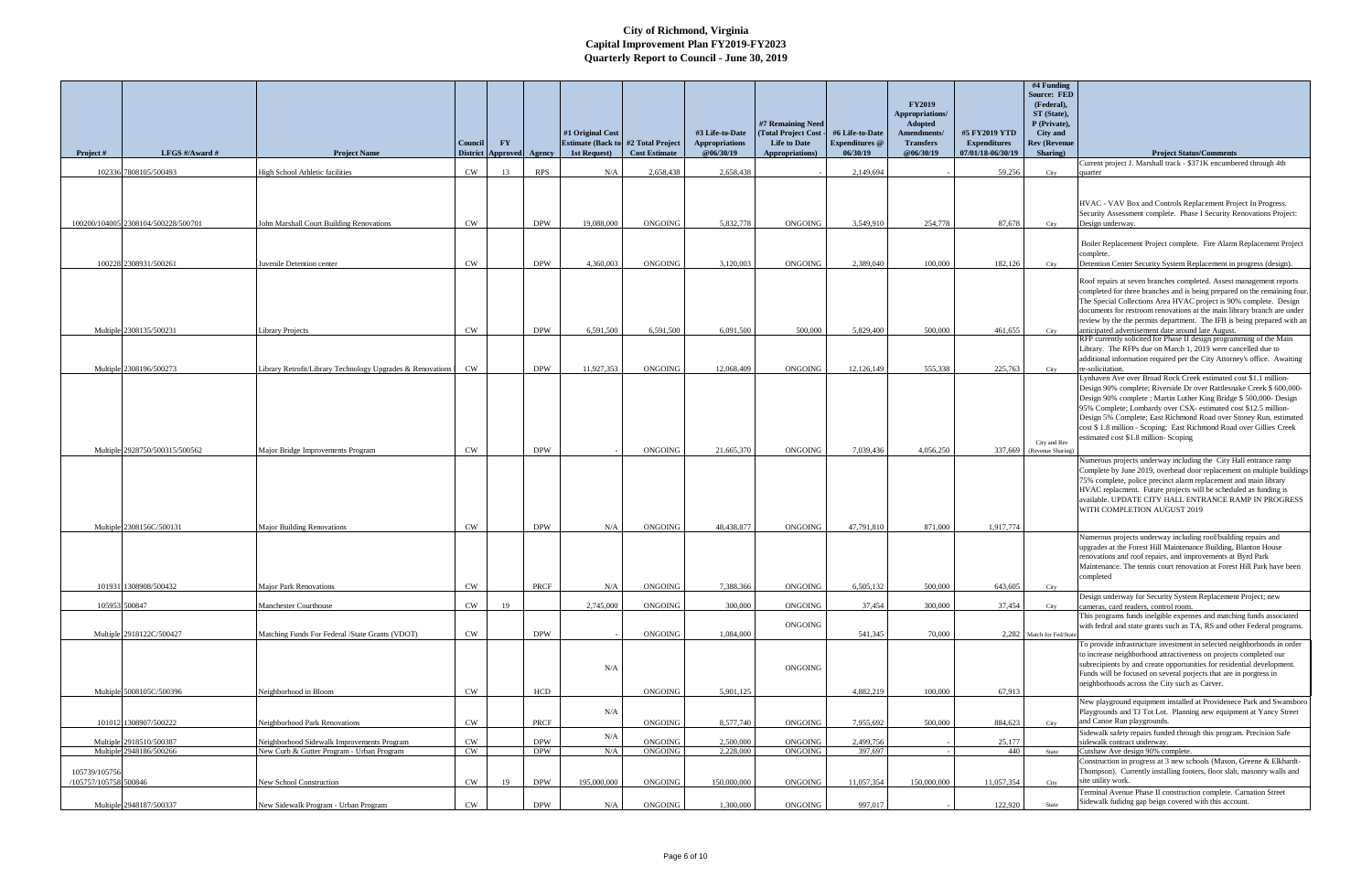| Project #                              | LFGS #/Award #                      | <b>Project Name</b>                                          | Council<br><b>District</b> | $\mathbf{F}\mathbf{Y}$<br><b>Approved</b> | Agency     | #1 Original Cost<br><b>Estimate (Back to #2 Total Project</b><br>1st Request) | <b>Cost Estimate</b> | #3 Life-to-Date<br><b>Appropriations</b><br>@06/30/19 | #7 Remaining Need<br>(Total Project Cost -<br><b>Life to Date</b><br>Appropriations) | #6 Life-to-Date<br><b>Expenditures</b> @<br>06/30/19 | <b>FY2019</b><br>Appropriations/<br><b>Adopted</b><br>Amendments/<br><b>Transfers</b><br>@06/30/19 | #5 FY2019 YTD<br><b>Expenditures</b><br>07/01/18-06/30/19 | #4 Funding<br><b>Source: FED</b><br>(Federal),<br>ST (State),<br>P (Private),<br><b>City</b> and<br><b>Rev (Revenue</b><br>Sharing) | <b>Project Status/Comments</b>                                                                                                                                                                                                                                                                                                                                                                                                                                       |
|----------------------------------------|-------------------------------------|--------------------------------------------------------------|----------------------------|-------------------------------------------|------------|-------------------------------------------------------------------------------|----------------------|-------------------------------------------------------|--------------------------------------------------------------------------------------|------------------------------------------------------|----------------------------------------------------------------------------------------------------|-----------------------------------------------------------|-------------------------------------------------------------------------------------------------------------------------------------|----------------------------------------------------------------------------------------------------------------------------------------------------------------------------------------------------------------------------------------------------------------------------------------------------------------------------------------------------------------------------------------------------------------------------------------------------------------------|
|                                        |                                     |                                                              |                            |                                           |            |                                                                               |                      |                                                       |                                                                                      |                                                      |                                                                                                    |                                                           |                                                                                                                                     | Current project J. Marshall track - \$371K encumbered through 4th                                                                                                                                                                                                                                                                                                                                                                                                    |
|                                        | 102336 7808105/500493               | High School Athletic facilities                              | CW                         | 13                                        | <b>RPS</b> | N/A                                                                           | 2.658,438            | 2,658,438                                             |                                                                                      | 2,149,694                                            |                                                                                                    | 59,256                                                    | City                                                                                                                                | quarter                                                                                                                                                                                                                                                                                                                                                                                                                                                              |
|                                        | 100200/104005 2308104/500228/500701 | John Marshall Court Building Renovations                     | CW                         |                                           | <b>DPW</b> | 19,088,000                                                                    | <b>ONGOING</b>       | 5,832,778                                             | ONGOING                                                                              | 3.549.910                                            | 254,778                                                                                            | 87,678                                                    | City                                                                                                                                | HVAC - VAV Box and Controls Replacement Project In Progress.<br>Security Assessment complete. Phase I Security Renovations Project:<br>Design underway.                                                                                                                                                                                                                                                                                                              |
|                                        |                                     |                                                              |                            |                                           |            |                                                                               |                      |                                                       |                                                                                      |                                                      |                                                                                                    |                                                           |                                                                                                                                     | Boiler Replacement Project complete. Fire Alarm Replacement Project<br>complete.                                                                                                                                                                                                                                                                                                                                                                                     |
|                                        | 100228 2308931/500261               | Juvenile Detention center                                    | CW                         |                                           | <b>DPW</b> | 4.360,003                                                                     | <b>ONGOING</b>       | 3,120,003                                             | ONGOING                                                                              | 2,389,040                                            | 100,000                                                                                            | 182,126                                                   | City                                                                                                                                | Detention Center Security System Replacement in progress (design).                                                                                                                                                                                                                                                                                                                                                                                                   |
|                                        |                                     |                                                              |                            |                                           |            |                                                                               |                      |                                                       |                                                                                      |                                                      |                                                                                                    |                                                           |                                                                                                                                     | Roof repairs at seven branches completed. Assest management reports<br>completed for three branches and is being prepared on the remaining four.<br>The Special Collections Area HVAC project is 90% complete. Design<br>documents for restroom renovations at the main library branch are under<br>review by the the permits department. The IFB is being prepared with an                                                                                          |
|                                        | Multiple 2308135/500231             | <b>Library Projects</b>                                      | CW                         |                                           | <b>DPW</b> | 6,591,500                                                                     | 6.591.500            | 6.091.500                                             | 500.000                                                                              | 5,829,400                                            | 500,000                                                                                            | 461,655                                                   | City                                                                                                                                | anticipated advertisement date around late August.<br>RFP currently solicited for Phase II design programming of the Main                                                                                                                                                                                                                                                                                                                                            |
|                                        | Multiple 2308196/500273             | Library Retrofit/Library Technology Upgrades & Renovations I | CW                         |                                           | <b>DPW</b> | 11,927,353                                                                    | <b>ONGOING</b>       | 12,068,409                                            | ONGOING                                                                              | 12,126,149                                           | 555.338                                                                                            | 225,763                                                   | City                                                                                                                                | Library. The RFPs due on March 1, 2019 were cancelled due to<br>additional information required per the City Attorney's office. Awaiting<br>re-solicitation.                                                                                                                                                                                                                                                                                                         |
|                                        | Multiple 2928750/500315/500562      | Major Bridge Improvements Program                            | <b>CW</b>                  |                                           | <b>DPW</b> |                                                                               | <b>ONGOING</b>       | 21,665,370                                            | ONGOING                                                                              | 7,039,436                                            | 4,056,250                                                                                          |                                                           | City and Rev<br>337,669 (Revenue Sharing)                                                                                           | Lynhaven Ave over Broad Rock Creek estimated cost \$1.1 million-<br>Design 90% complete; Riverside Dr over Rattlesnake Creek \$ 600,000-<br>Design 90% complete; Martin Luther King Bridge \$ 500,000- Design<br>95% Complete; Lombardy over CSX- estimated cost \$12.5 million-<br>Design 5% Complete; East Richmond Road over Stoney Run, estimated<br>cost \$1.8 million - Scoping; East Richmond Road over Gillies Creek<br>estimated cost \$1.8 million-Scoping |
|                                        |                                     |                                                              |                            |                                           |            |                                                                               |                      |                                                       |                                                                                      |                                                      |                                                                                                    |                                                           |                                                                                                                                     | Numerous projects underway including the City Hall entrance ramp                                                                                                                                                                                                                                                                                                                                                                                                     |
|                                        |                                     |                                                              |                            |                                           |            |                                                                               |                      |                                                       |                                                                                      |                                                      |                                                                                                    |                                                           |                                                                                                                                     | Complete by June 2019, overhead door replacement on multiple buildings<br>75% complete, police precinct alarm replacement and main library<br>HVAC replacment. Future projects will be scheduled as funding is<br>available. UPDATE CITY HALL ENTRANCE RAMP IN PROGRESS<br>WITH COMPLETION AUGUST 2019                                                                                                                                                               |
|                                        | Multiple 2308156C/500131            | <b>Major Building Renovations</b>                            | <b>CW</b>                  |                                           | <b>DPW</b> | N/A                                                                           | <b>ONGOING</b>       | 48.438.877                                            | ONGOING                                                                              | 47,791,810                                           | 871,000                                                                                            | 1.917.774                                                 |                                                                                                                                     | Numerous projects underway including roof/building repairs and                                                                                                                                                                                                                                                                                                                                                                                                       |
|                                        | 101931 1308908/500432               | <b>Major Park Renovations</b>                                | CW                         |                                           | PRCF       | N/A                                                                           | ONGOING              | 7,388,366                                             | ONGOING                                                                              | 6,505,132                                            | 500,000                                                                                            | 643,605                                                   | City                                                                                                                                | upgrades at the Forest Hill Maintenance Building, Blanton House<br>renovations and roof repairs, and improvements at Byrd Park<br>Maintenance. The tennis court renovation at Forest Hill Park have been<br>completed                                                                                                                                                                                                                                                |
| 105953 500847                          |                                     | Manchester Courthouse                                        | CW                         | 19                                        |            | 2,745,000                                                                     | ONGOING              | 300,000                                               | ONGOING                                                                              | 37,454                                               | 300,000                                                                                            | 37,454                                                    | City                                                                                                                                | Design underway for Security System Replacement Project; new<br>cameras, card readers, control room.                                                                                                                                                                                                                                                                                                                                                                 |
|                                        |                                     |                                                              |                            |                                           |            |                                                                               |                      |                                                       |                                                                                      |                                                      |                                                                                                    |                                                           |                                                                                                                                     | This programs funds inelgible expenses and matching funds associated                                                                                                                                                                                                                                                                                                                                                                                                 |
|                                        | Multiple 2918122C/500427            | Matching Funds For Federal /State Grants (VDOT)              | CW                         |                                           | <b>DPW</b> |                                                                               | <b>ONGOING</b>       | 1,084,000                                             | <b>ONGOING</b>                                                                       | 541,345                                              | 70,000                                                                                             |                                                           | 2,282 Match for Fed/State                                                                                                           | with fedral and state grants such as TA, RS and other Federal programs.                                                                                                                                                                                                                                                                                                                                                                                              |
|                                        | Multiple 5008105C/500396            | Neighborhood in Bloom                                        | <b>CW</b>                  |                                           | <b>HCD</b> | N/A                                                                           | ONGOING              | 5,901,125                                             | <b>ONGOING</b>                                                                       | 4,882,219                                            | 100,000                                                                                            | 67,913                                                    |                                                                                                                                     | To provide infrastructure investment in selected neighborhoods in order<br>to increase neighborhood attractiveness on projects completed our<br>subrecipients by and create opportunities for residential development.<br>Funds will be focused on several porjects that are in porgress in<br>neighborhoods across the City such as Carver.<br>New playground equipment installed at Providenece Park and Swansboro                                                 |
|                                        | 101012 1308907/500222               | Neighborhood Park Renovations                                | <b>CW</b>                  |                                           | PRCF       | N/A                                                                           | <b>ONGOING</b>       | 8,577,740                                             | ONGOING                                                                              | 7,955,692                                            | 500,000                                                                                            | 884,623                                                   | City                                                                                                                                | Playgrounds and TJ Tot Lot. Planning new equipment at Yancy Street<br>and Canoe Run playgrounds.                                                                                                                                                                                                                                                                                                                                                                     |
|                                        | Multiple 2918510/500387             | Neighborhood Sidewalk Improvements Program                   | CW                         |                                           | <b>DPW</b> | N/A                                                                           | <b>ONGOING</b>       | 2,500,000                                             | ONGOING                                                                              | 2,499,756                                            |                                                                                                    | 25,177                                                    |                                                                                                                                     | Sidewalk safety repairs funded through this program. Precision Safe<br>sidewalk contract underway.                                                                                                                                                                                                                                                                                                                                                                   |
|                                        | Multiple 2948186/500266             | New Curb & Gutter Program - Urban Program                    | CW                         |                                           | <b>DPW</b> | N/A                                                                           | ONGOING              | 2,228,000                                             | <b>ONGOING</b>                                                                       | 397,697                                              |                                                                                                    | 440                                                       | State                                                                                                                               | Cutshaw Ave design 90% complete.                                                                                                                                                                                                                                                                                                                                                                                                                                     |
| 105739/105756<br>/105757/105758 500846 |                                     | New School Construction                                      | CW                         | 19                                        | <b>DPW</b> | 195,000,000                                                                   | ONGOING              | 150,000,000                                           | ONGOING                                                                              | 11,057,354                                           | 150,000,000                                                                                        | 11,057,354                                                | City                                                                                                                                | Construction in progress at 3 new schools (Mason, Greene & Elkhardt-<br>Thompson). Currently installing footers, floor slab, masonry walls and<br>site utility work.<br>Terminal Avenue Phase II construction complete. Carnation Street                                                                                                                                                                                                                             |
|                                        | Multiple 2948187/500337             | New Sidewalk Program - Urban Program                         | $\mathrm{CW}$              |                                           | <b>DPW</b> | N/A                                                                           | ONGOING              | 1,300,000                                             | <b>ONGOING</b>                                                                       | 997,017                                              |                                                                                                    | 122,920                                                   | State                                                                                                                               | Sidewalk fudidng gap beign covered with this account.                                                                                                                                                                                                                                                                                                                                                                                                                |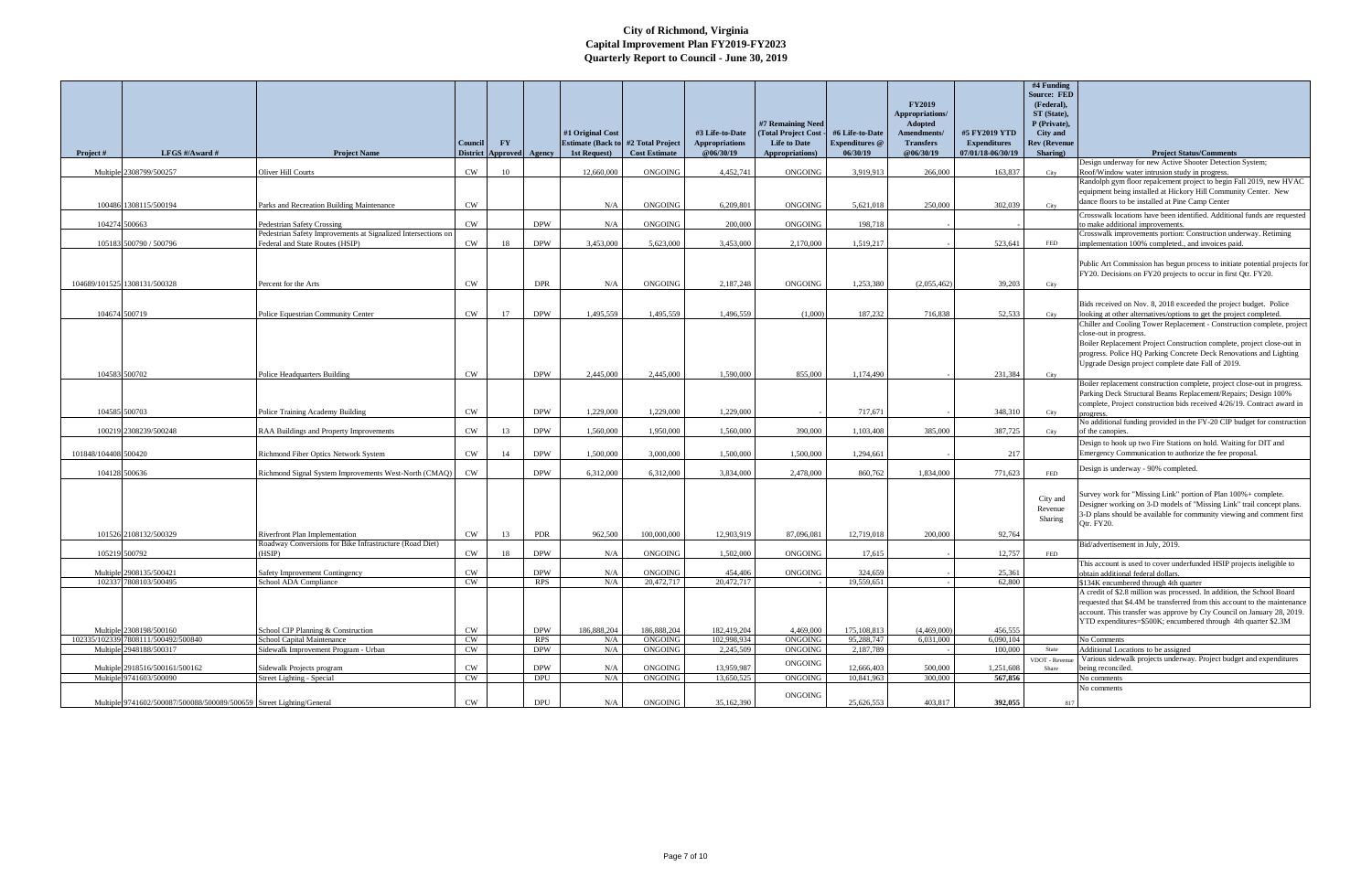|                      |                                                                      |                                                               |           |                          |            |                  |                                            |                                          |                                            |                                          | <b>FY2019</b>                     |                                      | $#4$ Funding<br><b>Source: FED</b><br>(Federal), |                                                                                                                                               |
|----------------------|----------------------------------------------------------------------|---------------------------------------------------------------|-----------|--------------------------|------------|------------------|--------------------------------------------|------------------------------------------|--------------------------------------------|------------------------------------------|-----------------------------------|--------------------------------------|--------------------------------------------------|-----------------------------------------------------------------------------------------------------------------------------------------------|
|                      |                                                                      |                                                               |           |                          |            |                  |                                            |                                          | #7 Remaining Need                          |                                          | Appropriations/<br><b>Adopted</b> |                                      | ST (State),<br>P (Private),                      |                                                                                                                                               |
|                      |                                                                      |                                                               | Council   | $\mathbf{F}\mathbf{Y}$   |            | #1 Original Cost | <b>Estimate (Back to #2 Total Project)</b> | #3 Life-to-Date<br><b>Appropriations</b> | (Total Project Cost<br><b>Life to Date</b> | #6 Life-to-Date<br><b>Expenditures</b> @ | Amendments/<br><b>Transfers</b>   | #5 FY2019 YTD<br><b>Expenditures</b> | <b>City</b> and<br><b>Rev (Revenue</b>           |                                                                                                                                               |
| Project #            | LFGS #/Award #                                                       | <b>Project Name</b>                                           |           | District Approved Agency |            | 1st Request)     | <b>Cost Estimate</b>                       | @06/30/19                                | Appropriations)                            | 06/30/19                                 | @06/30/19                         | 07/01/18-06/30/19                    | Sharing)                                         | <b>Project Status/Comments</b>                                                                                                                |
|                      | Multiple 2308799/500257                                              | <b>Oliver Hill Courts</b>                                     | CW        | 10                       |            | 12,660,000       | <b>ONGOING</b>                             | 4,452,741                                | ONGOING                                    | 3,919,913                                | 266,000                           | 163,837                              | City                                             | Design underway for new Active Shooter Detection System;<br>Roof/Window water intrusion study in progress.                                    |
|                      |                                                                      |                                                               |           |                          |            |                  |                                            |                                          |                                            |                                          |                                   |                                      |                                                  | Randolph gym floor repalcement project to begin Fall 2019, new HVAC                                                                           |
|                      |                                                                      |                                                               |           |                          |            |                  |                                            |                                          |                                            |                                          |                                   |                                      |                                                  | equipment being installed at Hickory Hill Community Center. New<br>dance floors to be installed at Pine Camp Center                           |
|                      | 100486 1308115/500194                                                | Parks and Recreation Building Maintenance                     | <b>CW</b> |                          |            | N/A              | <b>ONGOING</b>                             | 6,209,801                                | ONGOING                                    | 5,621,018                                | 250,000                           | 302,039                              | City                                             |                                                                                                                                               |
|                      | 104274 500663                                                        | Pedestrian Safety Crossing                                    | <b>CW</b> |                          | <b>DPW</b> | N/A              | <b>ONGOING</b>                             | 200,000                                  | ONGOING                                    | 198,718                                  |                                   |                                      |                                                  | Crosswalk locations have been identified. Additional funds are requested<br>to make additional improvements.                                  |
|                      |                                                                      | Pedestrian Safety Improvements at Signalized Intersections on |           |                          |            |                  |                                            |                                          |                                            |                                          |                                   |                                      |                                                  | Crosswalk improvements portion: Construction underway. Retiming                                                                               |
|                      | 105183 500790 / 500796                                               | Federal and State Routes (HSIP)                               | CW        | 18                       | <b>DPW</b> | 3,453,000        | 5,623,000                                  | 3,453,000                                | 2,170,000                                  | 1,519,217                                |                                   | 523,641                              | FED                                              | implementation 100% completed., and invoices paid.                                                                                            |
|                      |                                                                      |                                                               |           |                          |            |                  |                                            |                                          |                                            |                                          |                                   |                                      |                                                  |                                                                                                                                               |
|                      |                                                                      |                                                               |           |                          |            |                  |                                            |                                          |                                            |                                          |                                   |                                      |                                                  | Public Art Commission has begun process to initiate potential projects for<br>FY20. Decisions on FY20 projects to occur in first Qtr. FY20.   |
|                      | 104689/101525 1308131/500328                                         | Percent for the Arts                                          | <b>CW</b> |                          | <b>DPR</b> | N/A              | ONGOING                                    | 2,187,248                                | ONGOING                                    | 1,253,380                                | (2,055,462)                       | 39,203                               | City                                             |                                                                                                                                               |
|                      |                                                                      |                                                               |           |                          |            |                  |                                            |                                          |                                            |                                          |                                   |                                      |                                                  |                                                                                                                                               |
|                      | 104674 500719                                                        |                                                               | <b>CW</b> | 17                       | <b>DPW</b> | 1,495,559        | 1,495,559                                  | 1,496,559                                | (1,000)                                    | 187,232                                  | 716,838                           | 52,533                               |                                                  | Bids received on Nov. 8, 2018 exceeded the project budget. Police                                                                             |
|                      |                                                                      | Police Equestrian Community Center                            |           |                          |            |                  |                                            |                                          |                                            |                                          |                                   |                                      | City                                             | looking at other alternatives/options to get the project completed.<br>Chiller and Cooling Tower Replacement - Construction complete, project |
|                      |                                                                      |                                                               |           |                          |            |                  |                                            |                                          |                                            |                                          |                                   |                                      |                                                  | close-out in progress.                                                                                                                        |
|                      |                                                                      |                                                               |           |                          |            |                  |                                            |                                          |                                            |                                          |                                   |                                      |                                                  | Boiler Replacement Project Construction complete, project close-out in                                                                        |
|                      |                                                                      |                                                               |           |                          |            |                  |                                            |                                          |                                            |                                          |                                   |                                      |                                                  | progress. Police HQ Parking Concrete Deck Renovations and Lighting                                                                            |
|                      | 104583 500702                                                        | Police Headquarters Building                                  | <b>CW</b> |                          | <b>DPW</b> | 2,445,000        | 2,445,000                                  | 1.590,000                                | 855,000                                    | 1,174,490                                |                                   | 231,384                              | City                                             | Upgrade Design project complete date Fall of 2019.                                                                                            |
|                      |                                                                      |                                                               |           |                          |            |                  |                                            |                                          |                                            |                                          |                                   |                                      |                                                  | Boiler replacement construction complete, project close-out in progress.                                                                      |
|                      |                                                                      |                                                               |           |                          |            |                  |                                            |                                          |                                            |                                          |                                   |                                      |                                                  | Parking Deck Structural Beams Replacement/Repairs; Design 100%                                                                                |
|                      | 104585 500703                                                        |                                                               |           |                          | <b>DPW</b> |                  |                                            |                                          |                                            |                                          |                                   |                                      |                                                  | complete, Project construction bids received 4/26/19. Contract award in                                                                       |
|                      |                                                                      | Police Training Academy Building                              | <b>CW</b> |                          |            | 1,229,000        | 1,229,000                                  | 1,229,000                                |                                            | 717,671                                  |                                   | 348,310                              | City                                             | No additional funding provided in the FY-20 CIP budget for construction                                                                       |
|                      | 100219 2308239/500248                                                | RAA Buildings and Property Improvements                       | CW        | 13                       | <b>DPW</b> | 1,560,000        | 1,950,000                                  | 1,560,000                                | 390,000                                    | 1,103,408                                | 385,000                           | 387,725                              | City                                             | of the canopies.                                                                                                                              |
|                      |                                                                      |                                                               |           |                          |            |                  |                                            |                                          |                                            |                                          |                                   |                                      |                                                  | Design to hook up two Fire Stations on hold. Waiting for DIT and                                                                              |
| 101848/104408 500420 |                                                                      | Richmond Fiber Optics Network System                          | CW        | 14                       | <b>DPW</b> | 1,500,000        | 3,000,000                                  | 1,500,000                                | 1,500,000                                  | 1.294.661                                |                                   | 217                                  |                                                  | Emergency Communication to authorize the fee proposal.                                                                                        |
|                      | 104128 500636                                                        | Richmond Signal System Improvements West-North (CMAQ)         | <b>CW</b> |                          | <b>DPW</b> | 6,312,000        | 6,312,000                                  | 3,834,000                                | 2,478,000                                  | 860,762                                  | 1,834,000                         | 771,623                              | FED                                              | Design is underway - 90% completed.                                                                                                           |
|                      |                                                                      |                                                               |           |                          |            |                  |                                            |                                          |                                            |                                          |                                   |                                      |                                                  |                                                                                                                                               |
|                      |                                                                      |                                                               |           |                          |            |                  |                                            |                                          |                                            |                                          |                                   |                                      |                                                  | Survey work for "Missing Link" portion of Plan 100%+ complete.                                                                                |
|                      |                                                                      |                                                               |           |                          |            |                  |                                            |                                          |                                            |                                          |                                   |                                      | City and<br>Revenue                              | Designer working on 3-D models of "Missing Link" trail concept plans.                                                                         |
|                      |                                                                      |                                                               |           |                          |            |                  |                                            |                                          |                                            |                                          |                                   |                                      | Sharing                                          | 3-D plans should be available for community viewing and comment first                                                                         |
|                      | 101526 2108132/500329                                                | Riverfront Plan Implementation                                | CW        | 13                       | <b>PDR</b> | 962,500          | 100,000,000                                | 12,903,919                               | 87,096,081                                 | 12,719,018                               | 200,000                           | 92,764                               |                                                  | Qtr. FY20.                                                                                                                                    |
|                      |                                                                      | Roadway Conversions for Bike Infrastructure (Road Diet)       |           |                          |            |                  |                                            |                                          |                                            |                                          |                                   |                                      |                                                  | Bid/advertisement in July, 2019.                                                                                                              |
|                      | 105219 500792                                                        | (HSIP)                                                        | <b>CW</b> | 18                       | <b>DPW</b> | N/A              | <b>ONGOING</b>                             | 1,502,000                                | ONGOING                                    | 17,615                                   |                                   | 12,757                               | FED                                              |                                                                                                                                               |
|                      | Multiple 2908135/500421                                              |                                                               | CW        |                          | <b>DPW</b> | N/A              | <b>ONGOING</b>                             | 454,406                                  | <b>ONGOING</b>                             | 324,659                                  |                                   | 25,361                               |                                                  | This account is used to cover underfunded HSIP projects ineligible to<br>obtain additional federal dollars.                                   |
|                      | 102337 7808103/500495                                                | Safety Improvement Contingency<br>School ADA Compliance       | CW        |                          | <b>RPS</b> | $N/A$            | 20,472,717                                 | 20,472,717                               |                                            | 19,559,651                               |                                   | 62,800                               |                                                  | \$134K encumbered through 4th quarter                                                                                                         |
|                      |                                                                      |                                                               |           |                          |            |                  |                                            |                                          |                                            |                                          |                                   |                                      |                                                  | A credit of \$2.8 million was processed. In addition, the School Board                                                                        |
|                      |                                                                      |                                                               |           |                          |            |                  |                                            |                                          |                                            |                                          |                                   |                                      |                                                  | requested that \$4.4M be transferred from this account to the maintenance                                                                     |
|                      |                                                                      |                                                               |           |                          |            |                  |                                            |                                          |                                            |                                          |                                   |                                      |                                                  | account. This transfer was approve by Cty Council on January 28, 2019.<br>YTD expenditures=\$500K; encumbered through 4th quarter \$2.3M      |
|                      | Multiple 2308198/500160                                              | School CIP Planning & Construction                            | <b>CW</b> |                          | <b>DPW</b> | 186,888,204      | 186,888,204                                | 182,419,204                              | 4,469,000                                  | 175,108,813                              | (4,469,000)                       | 456,555                              |                                                  |                                                                                                                                               |
|                      | 102335/102339 7808111/500492/500840                                  | School Capital Maintenance                                    | CW        |                          | <b>RPS</b> | N/A              | ONGOING                                    | 102,998,934                              | <b>ONGOING</b>                             | 95,288,747                               | 6,031,000                         | 6,090,104                            |                                                  | $\overline{\text{No}}$ Comments                                                                                                               |
|                      | Multiple 2948188/500317                                              | Sidewalk Improvement Program - Urban                          | <b>CW</b> |                          | <b>DPW</b> | N/A              | ONGOING                                    | 2,245,509                                | <b>ONGOING</b>                             | 2,187,789                                |                                   | 100,000                              | State                                            | Additional Locations to be assigned<br>Various sidewalk projects underway. Project budget and expenditures                                    |
|                      | Multiple 2918516/500161/500162                                       | Sidewalk Projects program                                     | <b>CW</b> |                          | <b>DPW</b> | N/A              | <b>ONGOING</b>                             | 13,959,987                               | <b>ONGOING</b>                             | 12,666,403                               | 500,000                           | 1,251,608                            | VDOT - Reve<br>Share                             | being reconciled.                                                                                                                             |
|                      | Multiple 9741603/500090                                              | Street Lighting - Special                                     | <b>CW</b> |                          | <b>DPU</b> | N/A              | ONGOING                                    | 13,650,525                               | <b>ONGOING</b>                             | 10,841,963                               | 300,000                           | 567,856                              |                                                  | No comments                                                                                                                                   |
|                      |                                                                      |                                                               |           |                          |            |                  |                                            |                                          | ONGOING                                    |                                          |                                   |                                      |                                                  | No comments                                                                                                                                   |
|                      | Multiple 9741602/500087/500088/500089/500659 Street Lighting/General |                                                               | CW        |                          | <b>DPU</b> | N/A              | ONGOING                                    | 35,162,390                               |                                            | 25,626,553                               | 403,817                           | 392,055                              | 817                                              |                                                                                                                                               |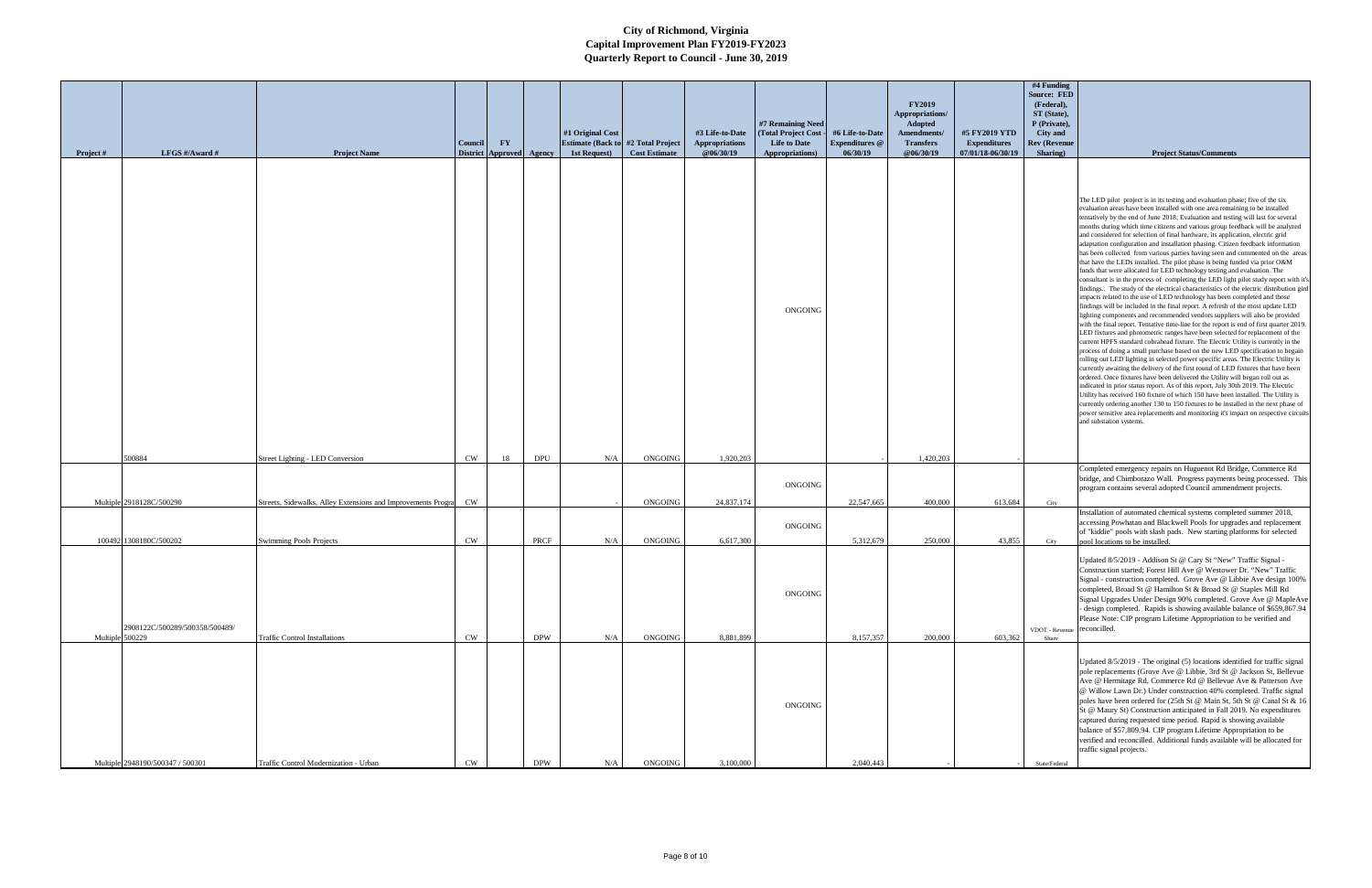| Project #       | LFGS #/Award #                   | <b>Project Name</b>                                             | Council   | $\mathbf{F}\mathbf{Y}$<br>District Approved Agency |            | #1 Original Cost<br><b>Estimate (Back to #2 Total Project)</b><br>1st Request) | <b>Cost Estimate</b> | #3 Life-to-Date<br><b>Appropriations</b><br>@06/30/19 | #7 Remaining Need<br>(Total Project Cost -<br><b>Life to Date</b><br>Appropriations) | #6 Life-to-Date<br><b>Expenditures</b> @<br>06/30/19 | <b>FY2019</b><br>Appropriations/<br>Adopted<br>Amendments/<br><b>Transfers</b><br>@06/30/19 | #5 FY2019 YTD<br><b>Expenditures</b><br>07/01/18-06/30/19 | #4 Funding<br>Source: FED<br>(Federal),<br>ST (State),<br>P (Private),<br>City and<br><b>Rev (Revenue</b><br>Sharing) | <b>Project Status/Comments</b>                                                                                                                                                                                                                                                                                                                                                                                                                                                                                                                                                                                                                                                                                                                                                                                                                                                                                                                                                                                                                                                                                                                                                                                                                                                                                                                                                                                                                                                                                                                                                                                                                                                                                                                                                                                                                                                                                                                                                                                                                                                                                                                                                            |
|-----------------|----------------------------------|-----------------------------------------------------------------|-----------|----------------------------------------------------|------------|--------------------------------------------------------------------------------|----------------------|-------------------------------------------------------|--------------------------------------------------------------------------------------|------------------------------------------------------|---------------------------------------------------------------------------------------------|-----------------------------------------------------------|-----------------------------------------------------------------------------------------------------------------------|-------------------------------------------------------------------------------------------------------------------------------------------------------------------------------------------------------------------------------------------------------------------------------------------------------------------------------------------------------------------------------------------------------------------------------------------------------------------------------------------------------------------------------------------------------------------------------------------------------------------------------------------------------------------------------------------------------------------------------------------------------------------------------------------------------------------------------------------------------------------------------------------------------------------------------------------------------------------------------------------------------------------------------------------------------------------------------------------------------------------------------------------------------------------------------------------------------------------------------------------------------------------------------------------------------------------------------------------------------------------------------------------------------------------------------------------------------------------------------------------------------------------------------------------------------------------------------------------------------------------------------------------------------------------------------------------------------------------------------------------------------------------------------------------------------------------------------------------------------------------------------------------------------------------------------------------------------------------------------------------------------------------------------------------------------------------------------------------------------------------------------------------------------------------------------------------|
|                 |                                  |                                                                 |           |                                                    |            |                                                                                |                      |                                                       | ONGOING                                                                              |                                                      |                                                                                             |                                                           |                                                                                                                       | The LED pilot project is in its testing and evaluation phase; five of the six<br>evaluation areas have been installed with one area remaining to be installed<br>tentatively by the end of June 2018; Evaluation and testing will last for several<br>months during which time citizens and various group feedback will be analyzed<br>and considered for selection of final hardware, its application, electric grid<br>adaptation configuration and installation phasing. Citizen feedback information<br>has been collected from various parties having seen and commented on the areas<br>that have the LEDs installed. The pilot phase is being funded via prior O&M<br>funds that were allocated for LED technology testing and evaluation. The<br>consultant is in the process of completing the LED light pilot study report with it's<br>findings The study of the electrical characteristics of the electric distribution gird<br>impacts related to the use of LED technology has been completed and those<br>findings will be included in the final report. A refresh of the most update LED<br>lighting components and recommended vendors suppliers will also be provided<br>with the final report. Tentative time-line for the report is end of first quarter 2019.<br>LED fixtures and photometric ranges have been selected for replacement of the<br>current HPFS standard cobrahead fixture. The Electric Utility is currently in the<br>process of doing a small purchase based on the new LED specification to begain<br>rolling out LED lighting in selected power specific areas. The Electric Utility is<br>currently awaiting the delivery of the first round of LED fixtures that have been<br>ordered. Once fixtures have been delivered the Utility will began roll out as<br>indicated in prior status report. As of this report, July 30th 2019. The Electric<br>Utility has received 160 fixture of which 150 have been installed. The Utility is<br>currently ordering another 130 to 150 fixtures to be installed in the next phase of<br>power sensitive area replacements and monitoring it's impact on respective circuits<br>and substation systems. |
|                 | 500884                           | Street Lighting - LED Conversion                                | <b>CW</b> | 18                                                 | <b>DPU</b> | N/A                                                                            | <b>ONGOING</b>       | 1,920,203                                             |                                                                                      |                                                      | 1,420,203                                                                                   |                                                           |                                                                                                                       |                                                                                                                                                                                                                                                                                                                                                                                                                                                                                                                                                                                                                                                                                                                                                                                                                                                                                                                                                                                                                                                                                                                                                                                                                                                                                                                                                                                                                                                                                                                                                                                                                                                                                                                                                                                                                                                                                                                                                                                                                                                                                                                                                                                           |
|                 | Multiple 2918128C/500290         | Streets, Sidewalks, Alley Extensions and Improvements Progra CW |           |                                                    |            |                                                                                | ONGOING              | 24,837,174                                            | ONGOING                                                                              | 22,547,665                                           | 400,000                                                                                     | 613,684                                                   | City                                                                                                                  | Completed emergency repairs on Huguenot Rd Bridge, Commerce Rd<br>bridge, and Chimborazo Wall. Progress payments being processed. This<br>program contains several adopted Council ammendment projects.                                                                                                                                                                                                                                                                                                                                                                                                                                                                                                                                                                                                                                                                                                                                                                                                                                                                                                                                                                                                                                                                                                                                                                                                                                                                                                                                                                                                                                                                                                                                                                                                                                                                                                                                                                                                                                                                                                                                                                                   |
|                 | 100492 1308180C/500202           | <b>Swimming Pools Projects</b>                                  | CW        |                                                    | PRCF       | N/A                                                                            | ONGOING              | 6,617,300                                             | ONGOING                                                                              | 5,312,679                                            | 250,000                                                                                     | 43,855                                                    | City                                                                                                                  | Installation of automated chemical systems completed summer 2018,<br>accessing Powhatan and Blackwell Pools for upgrades and replacement<br>of "kiddie" pools with slash pads. New starting platforms for selected<br>pool locations to be installed.                                                                                                                                                                                                                                                                                                                                                                                                                                                                                                                                                                                                                                                                                                                                                                                                                                                                                                                                                                                                                                                                                                                                                                                                                                                                                                                                                                                                                                                                                                                                                                                                                                                                                                                                                                                                                                                                                                                                     |
| Multiple 500229 | 2908122C/500289/500358/500489/   | <b>Traffic Control Installations</b>                            | <b>CW</b> |                                                    | <b>DPW</b> | N/A                                                                            | ONGOING              | 8,881,899                                             | ONGOING                                                                              | 8,157,357                                            | 200,000                                                                                     | 603,362                                                   | VDOT - Revenue reconcilled.<br>Share                                                                                  | Updated 8/5/2019 - Addison St @ Cary St "New" Traffic Signal -<br>Construction started; Forest Hill Ave @ Westower Dr. "New" Traffic<br>Signal - construction completed. Grove Ave @ Libbie Ave design 100%<br>completed, Broad St @ Hamilton St & Broad St @ Staples Mill Rd<br>Signal Upgrades Under Design 90% completed. Grove Ave @ MapleAve<br>- design completed. Rapids is showing available balance of \$659,867.94<br>Please Note: CIP program Lifetime Appropriation to be verified and                                                                                                                                                                                                                                                                                                                                                                                                                                                                                                                                                                                                                                                                                                                                                                                                                                                                                                                                                                                                                                                                                                                                                                                                                                                                                                                                                                                                                                                                                                                                                                                                                                                                                        |
|                 | Multiple 2948190/500347 / 500301 | Traffic Control Modernization - Urban                           | CW        |                                                    | <b>DPW</b> | N/A                                                                            | ONGOING              | 3,100,000                                             | ONGOING                                                                              | 2,040,443                                            |                                                                                             |                                                           | State/Federal                                                                                                         | Updated 8/5/2019 - The original (5) locations identified for traffic signal<br>pole replacements (Grove Ave @ Libbie, 3rd St @ Jackson St, Bellevue<br>Ave @ Hermitage Rd, Commerce Rd @ Bellevue Ave & Patterson Ave<br>@ Willow Lawn Dr.) Under construction 40% completed. Traffic signal<br>poles have been ordered for (25th St @ Main St, 5th St @ Canal St & 16<br>St @ Maury St) Construction anticipated in Fall 2019. No expenditures<br>captured during requested time period. Rapid is showing available<br>balance of \$57,809.94. CIP program Lifetime Appropriation to be<br>verified and reconcilled. Additional funds available will be allocated for<br>traffic signal projects.                                                                                                                                                                                                                                                                                                                                                                                                                                                                                                                                                                                                                                                                                                                                                                                                                                                                                                                                                                                                                                                                                                                                                                                                                                                                                                                                                                                                                                                                                        |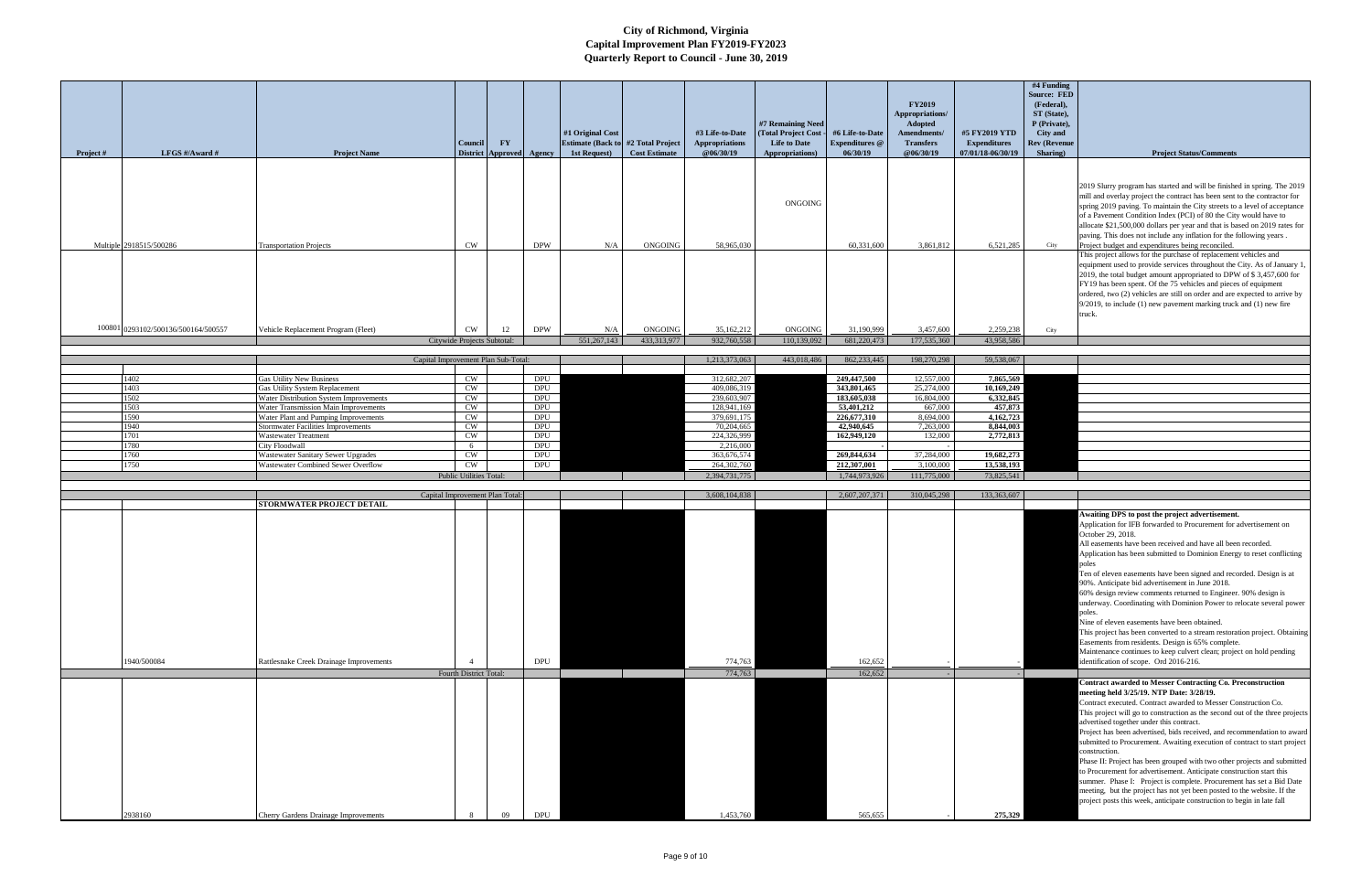| Project # | LFGS #/Award #                      | <b>Project Name</b>                                                      | Council                             | $\mathbf{F}\mathbf{Y}$<br>District Approved Agency |            | #1 Original Cost<br><b>Estimate (Back to #2 Total Project</b><br>1st Request) | <b>Cost Estimate</b> | #3 Life-to-Date<br>Appropriations<br>@06/30/19 | #7 Remaining Need<br>(Total Project Cost -<br><b>Life to Date</b><br>Appropriations) | #6 Life-to-Date<br>Expenditures @<br>06/30/19 | <b>FY2019</b><br>Appropriations/<br><b>Adopted</b><br>Amendments/<br><b>Transfers</b><br>@06/30/19 | #5 FY2019 YTD<br><b>Expenditures</b><br>07/01/18-06/30/19 | #4 Funding<br><b>Source: FED</b><br>(Federal),<br>ST (State),<br>P (Private),<br>City and<br><b>Rev (Revenue</b><br>Sharing) | <b>Project Status/Comments</b>                                                                                                                                                                                                                                                                                                                                                                                                                                                                                                                                                                                                                                                                                                                                                                                                                                                  |
|-----------|-------------------------------------|--------------------------------------------------------------------------|-------------------------------------|----------------------------------------------------|------------|-------------------------------------------------------------------------------|----------------------|------------------------------------------------|--------------------------------------------------------------------------------------|-----------------------------------------------|----------------------------------------------------------------------------------------------------|-----------------------------------------------------------|------------------------------------------------------------------------------------------------------------------------------|---------------------------------------------------------------------------------------------------------------------------------------------------------------------------------------------------------------------------------------------------------------------------------------------------------------------------------------------------------------------------------------------------------------------------------------------------------------------------------------------------------------------------------------------------------------------------------------------------------------------------------------------------------------------------------------------------------------------------------------------------------------------------------------------------------------------------------------------------------------------------------|
|           | Multiple 2918515/500286             | <b>Transportation Projects</b>                                           | <b>CW</b>                           |                                                    | <b>DPW</b> | N/A                                                                           | <b>ONGOING</b>       | 58,965,030                                     | ONGOING                                                                              | 60,331,600                                    | 3,861,812                                                                                          | 6,521,285                                                 | City                                                                                                                         | 2019 Slurry program has started and will be finished in spring. The 2019<br>mill and overlay project the contract has been sent to the contractor for<br>spring 2019 paving. To maintain the City streets to a level of acceptance<br>of a Pavement Condition Index (PCI) of 80 the City would have to<br>allocate \$21,500,000 dollars per year and that is based on 2019 rates for<br>paving. This does not include any inflation for the following years.<br>Project budget and expenditures being reconciled.<br>This project allows for the purchase of replacement vehicles and                                                                                                                                                                                                                                                                                           |
|           | 100801 0293102/500136/500164/500557 | Vehicle Replacement Program (Fleet)                                      | <b>CW</b>                           | 12                                                 | <b>DPW</b> | N/A                                                                           | ONGOING              | 35,162,212                                     | <b>ONGOING</b>                                                                       | 31,190,999                                    | 3,457,600                                                                                          | 2,259,238                                                 | City                                                                                                                         | equipment used to provide services throughout the City. As of January 1<br>2019, the total budget amount appropriated to DPW of \$3,457,600 for<br>FY19 has been spent. Of the 75 vehicles and pieces of equipment<br>ordered, two (2) vehicles are still on order and are expected to arrive by<br>$9/2019$ , to include (1) new pavement marking truck and (1) new fire<br>truck.                                                                                                                                                                                                                                                                                                                                                                                                                                                                                             |
|           |                                     |                                                                          | Citywide Projects Subtotal:         |                                                    |            | 551,267,143                                                                   | 433,313,977          | 932,760,558                                    | 110,139,092                                                                          | 681,220,473                                   | 177,535,360                                                                                        | 43,958,586                                                |                                                                                                                              |                                                                                                                                                                                                                                                                                                                                                                                                                                                                                                                                                                                                                                                                                                                                                                                                                                                                                 |
|           |                                     |                                                                          | Capital Improvement Plan Sub-Total: |                                                    |            |                                                                               |                      | 1,213,373,063                                  | 443,018,486                                                                          | 862, 233, 445                                 | 198,270,298                                                                                        | 59,538,067                                                |                                                                                                                              |                                                                                                                                                                                                                                                                                                                                                                                                                                                                                                                                                                                                                                                                                                                                                                                                                                                                                 |
|           |                                     |                                                                          |                                     |                                                    |            |                                                                               |                      |                                                |                                                                                      |                                               |                                                                                                    |                                                           |                                                                                                                              |                                                                                                                                                                                                                                                                                                                                                                                                                                                                                                                                                                                                                                                                                                                                                                                                                                                                                 |
|           | 1402<br>1403                        | <b>Gas Utility New Business</b><br>Gas Utility System Replacement        | CW<br><b>CW</b>                     |                                                    | DPU<br>DPU |                                                                               |                      | 312,682,207<br>409,086,319                     |                                                                                      | 249,447,500<br>343,801,465                    | 12,557,000<br>25,274,000                                                                           | 7,865,569<br>10,169,249                                   |                                                                                                                              |                                                                                                                                                                                                                                                                                                                                                                                                                                                                                                                                                                                                                                                                                                                                                                                                                                                                                 |
|           | 1502                                | Water Distribution System Improvements                                   | CW                                  |                                                    | DPU        |                                                                               |                      | 239,603,907                                    |                                                                                      | 183,605,038                                   | 16,804,000                                                                                         | 6,332,845                                                 |                                                                                                                              |                                                                                                                                                                                                                                                                                                                                                                                                                                                                                                                                                                                                                                                                                                                                                                                                                                                                                 |
|           | 1503                                | Water Transmission Main Improvements                                     | CW                                  |                                                    | DPU        |                                                                               |                      | 128,941,169                                    |                                                                                      | 53,401,212                                    | 667,000                                                                                            | 457,873                                                   |                                                                                                                              |                                                                                                                                                                                                                                                                                                                                                                                                                                                                                                                                                                                                                                                                                                                                                                                                                                                                                 |
|           | 1590                                | Water Plant and Pumping Improvements                                     | CW                                  |                                                    | DPU        |                                                                               |                      | 379,691,175                                    |                                                                                      | 226,677,310                                   | 8,694,000                                                                                          | 4,162,723                                                 |                                                                                                                              |                                                                                                                                                                                                                                                                                                                                                                                                                                                                                                                                                                                                                                                                                                                                                                                                                                                                                 |
|           | 1940<br>1701                        | <b>Stormwater Facilities Improvements</b><br><b>Wastewater Treatment</b> | CW<br>CW                            |                                                    | DPU<br>DPU |                                                                               |                      | 70,204,665<br>224,326,999                      |                                                                                      | 42,940,645<br>162,949,120                     | 7,263,000<br>132,000                                                                               | 8,844,003<br>2,772,813                                    |                                                                                                                              |                                                                                                                                                                                                                                                                                                                                                                                                                                                                                                                                                                                                                                                                                                                                                                                                                                                                                 |
|           | 1780                                | City Floodwall                                                           | 6                                   |                                                    | DPU        |                                                                               |                      | 2,216,000                                      |                                                                                      |                                               |                                                                                                    |                                                           |                                                                                                                              |                                                                                                                                                                                                                                                                                                                                                                                                                                                                                                                                                                                                                                                                                                                                                                                                                                                                                 |
|           | 1760                                | <b>Wastewater Sanitary Sewer Upgrades</b>                                | <b>CW</b>                           |                                                    | DPU        |                                                                               |                      | 363,676,574                                    |                                                                                      | 269,844,634                                   | 37,284,000                                                                                         | 19,682,273                                                |                                                                                                                              |                                                                                                                                                                                                                                                                                                                                                                                                                                                                                                                                                                                                                                                                                                                                                                                                                                                                                 |
|           | 1750                                | Wastewater Combined Sewer Overflow                                       | <b>CW</b>                           |                                                    | <b>DPU</b> |                                                                               |                      | 264,302,760                                    |                                                                                      | 212,307,001                                   | 3,100,000                                                                                          | 13,538,193                                                |                                                                                                                              |                                                                                                                                                                                                                                                                                                                                                                                                                                                                                                                                                                                                                                                                                                                                                                                                                                                                                 |
|           |                                     |                                                                          | <b>Public Utilities Total:</b>      |                                                    |            |                                                                               |                      | 2,394,731,775                                  |                                                                                      | 1,744,973,926                                 | 111,775,000                                                                                        | 73,825,541                                                |                                                                                                                              |                                                                                                                                                                                                                                                                                                                                                                                                                                                                                                                                                                                                                                                                                                                                                                                                                                                                                 |
|           |                                     |                                                                          | Capital Improvement Plan Total:     |                                                    |            |                                                                               |                      | 3,608,104,838                                  |                                                                                      | 2,607,207,371                                 | 310,045,298                                                                                        | 133,363,607                                               |                                                                                                                              |                                                                                                                                                                                                                                                                                                                                                                                                                                                                                                                                                                                                                                                                                                                                                                                                                                                                                 |
|           |                                     | STORMWATER PROJECT DETAIL                                                |                                     |                                                    |            |                                                                               |                      |                                                |                                                                                      |                                               |                                                                                                    |                                                           |                                                                                                                              |                                                                                                                                                                                                                                                                                                                                                                                                                                                                                                                                                                                                                                                                                                                                                                                                                                                                                 |
|           | 1940/500084                         | Rattlesnake Creek Drainage Improvements                                  |                                     |                                                    | <b>DPU</b> |                                                                               |                      | 774,763                                        |                                                                                      | 162,652                                       |                                                                                                    |                                                           |                                                                                                                              | Awaiting DPS to post the project advertisement.<br>Application for IFB forwarded to Procurement for advertisement on<br>October 29, 2018.<br>All easements have been received and have all been recorded.<br>Application has been submitted to Dominion Energy to reset conflicting<br>poles<br>Ten of eleven easements have been signed and recorded. Design is at<br>90%. Anticipate bid advertisement in June 2018.<br>60% design review comments returned to Engineer. 90% design is<br>underway. Coordinating with Dominion Power to relocate several power<br>poles.<br>Nine of eleven easements have been obtained.<br>This project has been converted to a stream restoration project. Obtaining<br>Easements from residents. Design is 65% complete.<br>Maintenance continues to keep culvert clean; project on hold pending<br>identification of scope. Ord 2016-216. |
|           |                                     |                                                                          | Fourth District Total:              |                                                    |            |                                                                               |                      | 774,763                                        |                                                                                      | 162,652                                       |                                                                                                    |                                                           |                                                                                                                              | <b>Contract awarded to Messer Contracting Co. Preconstruction</b>                                                                                                                                                                                                                                                                                                                                                                                                                                                                                                                                                                                                                                                                                                                                                                                                               |
|           | 2938160                             | Cherry Gardens Drainage Improvements                                     |                                     | 09                                                 | <b>DPU</b> |                                                                               |                      | 1,453,760                                      |                                                                                      | 565,655                                       |                                                                                                    | 275,329                                                   |                                                                                                                              | meeting held 3/25/19. NTP Date: 3/28/19.<br>Contract executed. Contract awarded to Messer Construction Co.<br>This project will go to construction as the second out of the three projects<br>advertised together under this contract.<br>Project has been advertised, bids received, and recommendation to award<br>submitted to Procurement. Awaiting execution of contract to start project<br>construction.<br>Phase II: Project has been grouped with two other projects and submitted<br>to Procurement for advertisement. Anticipate construction start this<br>summer. Phase I: Project is complete. Procurement has set a Bid Date<br>meeting, but the project has not yet been posted to the website. If the<br>project posts this week, anticipate construction to begin in late fall                                                                                |